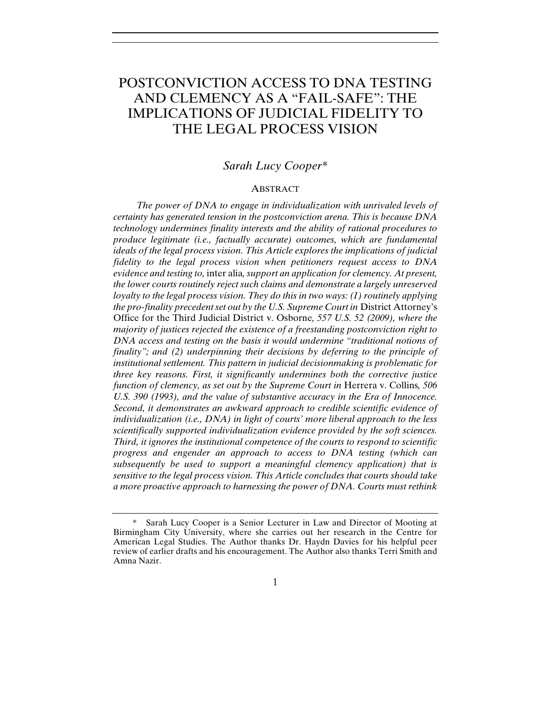# POSTCONVICTION ACCESS TO DNA TESTING AND CLEMENCY AS A "FAIL-SAFE": THE IMPLICATIONS OF JUDICIAL FIDELITY TO THE LEGAL PROCESS VISION

## *Sarah Lucy Cooper\**

#### ABSTRACT

*The power of DNA to engage in individualization with unrivaled levels of certainty has generated tension in the postconviction arena. This is because DNA technology undermines finality interests and the ability of rational procedures to produce legitimate (i.e., factually accurate) outcomes, which are fundamental ideals of the legal process vision. This Article explores the implications of judicial fidelity to the legal process vision when petitioners request access to DNA evidence and testing to,* inter alia*, support an application for clemency. At present, the lower courts routinely reject such claims and demonstrate a largely unreserved loyalty to the legal process vision. They do this in two ways: (1) routinely applying the pro-finality precedent set out by the U.S. Supreme Court in* District Attorney's Office for the Third Judicial District v. Osborne*, 557 U.S. 52 (2009), where the majority of justices rejected the existence of a freestanding postconviction right to DNA access and testing on the basis it would undermine "traditional notions of finality"; and (2) underpinning their decisions by deferring to the principle of institutional settlement. This pattern in judicial decisionmaking is problematic for three key reasons. First, it significantly undermines both the corrective justice function of clemency, as set out by the Supreme Court in* Herrera v. Collins*, 506 U.S. 390 (1993), and the value of substantive accuracy in the Era of Innocence. Second, it demonstrates an awkward approach to credible scientific evidence of individualization (i.e., DNA) in light of courts' more liberal approach to the less scientifically supported individualization evidence provided by the soft sciences. Third, it ignores the institutional competence of the courts to respond to scientific progress and engender an approach to access to DNA testing (which can subsequently be used to support a meaningful clemency application) that is sensitive to the legal process vision. This Article concludes that courts should take a more proactive approach to harnessing the power of DNA. Courts must rethink* 

Sarah Lucy Cooper is a Senior Lecturer in Law and Director of Mooting at Birmingham City University, where she carries out her research in the Centre for American Legal Studies. The Author thanks Dr. Haydn Davies for his helpful peer review of earlier drafts and his encouragement. The Author also thanks Terri Smith and Amna Nazir.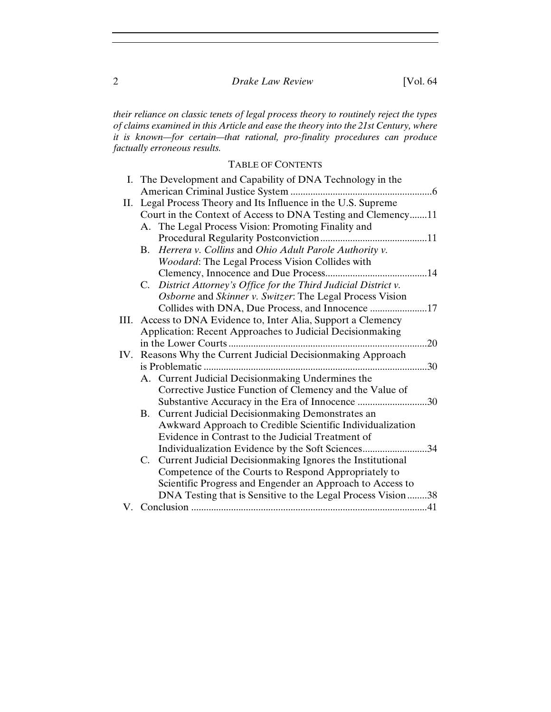*their reliance on classic tenets of legal process theory to routinely reject the types of claims examined in this Article and ease the theory into the 21st Century, where it is known—for certain—that rational, pro-finality procedures can produce factually erroneous results.*

# TABLE OF CONTENTS

| I. The Development and Capability of DNA Technology in the         |
|--------------------------------------------------------------------|
|                                                                    |
| II. Legal Process Theory and Its Influence in the U.S. Supreme     |
| Court in the Context of Access to DNA Testing and Clemency11       |
| A. The Legal Process Vision: Promoting Finality and                |
|                                                                    |
| Herrera v. Collins and Ohio Adult Parole Authority v.<br><b>B.</b> |
| Woodard: The Legal Process Vision Collides with                    |
|                                                                    |
| C. District Attorney's Office for the Third Judicial District v.   |
| Osborne and Skinner v. Switzer: The Legal Process Vision           |
|                                                                    |
| III. Access to DNA Evidence to, Inter Alia, Support a Clemency     |
| Application: Recent Approaches to Judicial Decisionmaking          |
| .20                                                                |
| IV. Reasons Why the Current Judicial Decisionmaking Approach       |
| .30                                                                |
| A. Current Judicial Decisionmaking Undermines the                  |
| Corrective Justice Function of Clemency and the Value of           |
| Substantive Accuracy in the Era of Innocence 30                    |
| <b>Current Judicial Decision making Demonstrates an</b><br>B.      |
| Awkward Approach to Credible Scientific Individualization          |
| Evidence in Contrast to the Judicial Treatment of                  |
| Individualization Evidence by the Soft Sciences34                  |
| C. Current Judicial Decisionmaking Ignores the Institutional       |
| Competence of the Courts to Respond Appropriately to               |
| Scientific Progress and Engender an Approach to Access to          |
| DNA Testing that is Sensitive to the Legal Process Vision38        |
|                                                                    |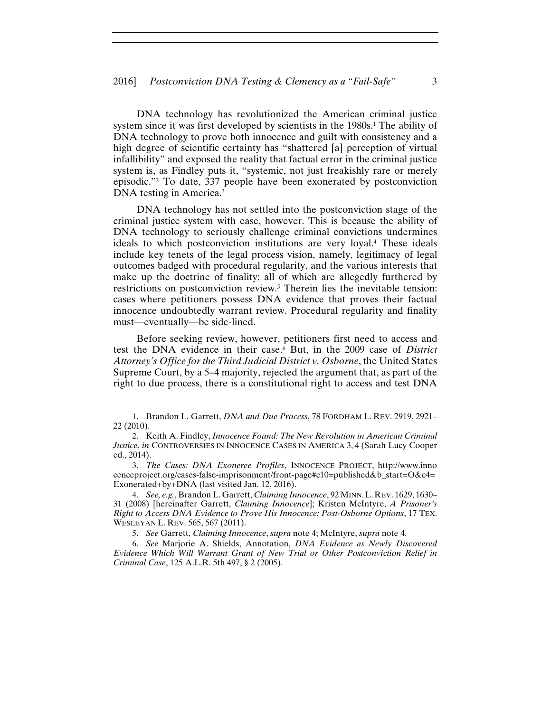DNA technology has revolutionized the American criminal justice system since it was first developed by scientists in the 1980s.<sup>1</sup> The ability of DNA technology to prove both innocence and guilt with consistency and a high degree of scientific certainty has "shattered [a] perception of virtual infallibility" and exposed the reality that factual error in the criminal justice system is, as Findley puts it, "systemic, not just freakishly rare or merely episodic."2 To date, 337 people have been exonerated by postconviction DNA testing in America.3

DNA technology has not settled into the postconviction stage of the criminal justice system with ease, however. This is because the ability of DNA technology to seriously challenge criminal convictions undermines ideals to which postconviction institutions are very loyal.4 These ideals include key tenets of the legal process vision, namely, legitimacy of legal outcomes badged with procedural regularity, and the various interests that make up the doctrine of finality; all of which are allegedly furthered by restrictions on postconviction review.<sup>5</sup> Therein lies the inevitable tension: cases where petitioners possess DNA evidence that proves their factual innocence undoubtedly warrant review. Procedural regularity and finality must—eventually—be side-lined.

Before seeking review, however, petitioners first need to access and test the DNA evidence in their case.6 But, in the 2009 case of *District Attorney's Office for the Third Judicial District v. Osborne*, the United States Supreme Court, by a 5–4 majority, rejected the argument that, as part of the right to due process, there is a constitutional right to access and test DNA

<sup>1.</sup> Brandon L. Garrett, *DNA and Due Process*, 78 FORDHAM L. REV. 2919, 2921– 22 (2010).

<sup>2.</sup> Keith A. Findley, *Innocence Found: The New Revolution in American Criminal Justice*, *in* CONTROVERSIES IN INNOCENCE CASES IN AMERICA 3, 4 (Sarah Lucy Cooper ed., 2014).

<sup>3.</sup> *The Cases: DNA Exoneree Profiles*, INNOCENCE PROJECT, http://www.inno cenceproject.org/cases-false-imprisonment/front-page#c10=published&b\_start=O&c4= Exonerated+by+DNA (last visited Jan. 12, 2016).

<sup>4.</sup> *See, e.g.*, Brandon L. Garrett, *Claiming Innocence*, 92 MINN.L.REV. 1629, 1630– 31 (2008) [hereinafter Garrett, *Claiming Innocence*]; Kristen McIntyre, *A Prisoner's Right to Access DNA Evidence to Prove His Innocence: Post-Osborne Options*, 17 TEX. WESLEYAN L. REV. 565, 567 (2011).

<sup>5.</sup> *See* Garrett, *Claiming Innocence*, *supra* note 4; McIntyre, *supra* note 4.

<sup>6.</sup> *See* Marjorie A. Shields, Annotation, *DNA Evidence as Newly Discovered Evidence Which Will Warrant Grant of New Trial or Other Postconviction Relief in Criminal Case*, 125 A.L.R. 5th 497, § 2 (2005).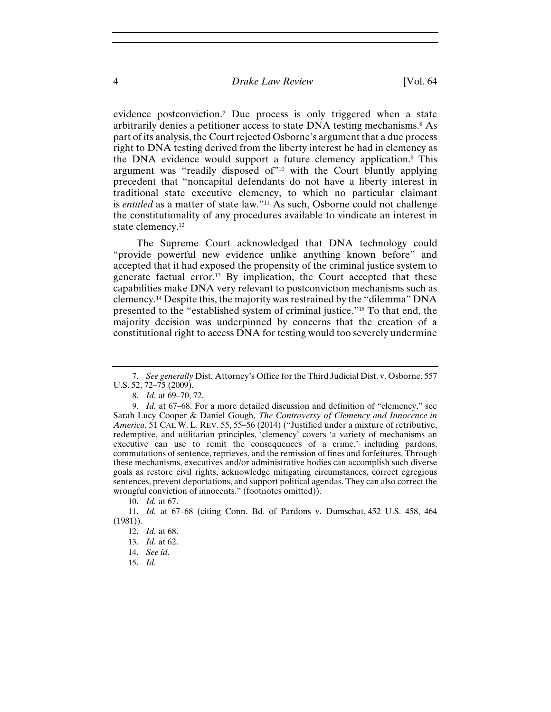evidence postconviction.7 Due process is only triggered when a state arbitrarily denies a petitioner access to state DNA testing mechanisms.8 As part of its analysis, the Court rejected Osborne's argument that a due process right to DNA testing derived from the liberty interest he had in clemency as the DNA evidence would support a future clemency application.9 This argument was "readily disposed of"<sup>10</sup> with the Court bluntly applying precedent that "noncapital defendants do not have a liberty interest in traditional state executive clemency, to which no particular claimant is *entitled* as a matter of state law."11 As such, Osborne could not challenge the constitutionality of any procedures available to vindicate an interest in state clemency.12

The Supreme Court acknowledged that DNA technology could "provide powerful new evidence unlike anything known before" and accepted that it had exposed the propensity of the criminal justice system to generate factual error.13 By implication, the Court accepted that these capabilities make DNA very relevant to postconviction mechanisms such as clemency.14 Despite this, the majority was restrained by the "dilemma" DNA presented to the "established system of criminal justice."15 To that end, the majority decision was underpinned by concerns that the creation of a constitutional right to access DNA for testing would too severely undermine

15. *Id.*

<sup>7.</sup> *See generally* Dist. Attorney's Office for the Third Judicial Dist. v. Osborne, 557 U.S. 52, 72–75 (2009).

<sup>8.</sup> *Id.* at 69–70, 72.

<sup>9.</sup> *Id.* at 67–68. For a more detailed discussion and definition of "clemency," see Sarah Lucy Cooper & Daniel Gough, *The Controversy of Clemency and Innocence in America*, 51 CAL W. L. REV. 55, 55–56 (2014) ("Justified under a mixture of retributive, redemptive, and utilitarian principles, 'clemency' covers 'a variety of mechanisms an executive can use to remit the consequences of a crime,' including pardons, commutations of sentence, reprieves, and the remission of fines and forfeitures. Through these mechanisms, executives and/or administrative bodies can accomplish such diverse goals as restore civil rights, acknowledge mitigating circumstances, correct egregious sentences, prevent deportations, and support political agendas. They can also correct the wrongful conviction of innocents." (footnotes omitted)).

<sup>10.</sup> *Id.* at 67.

<sup>11.</sup> *Id.* at 67–68 (citing Conn. Bd. of Pardons v. Dumschat, 452 U.S. 458, 464 (1981)).

<sup>12.</sup> *Id.* at 68.

<sup>13.</sup> *Id.* at 62.

<sup>14.</sup> *See id.*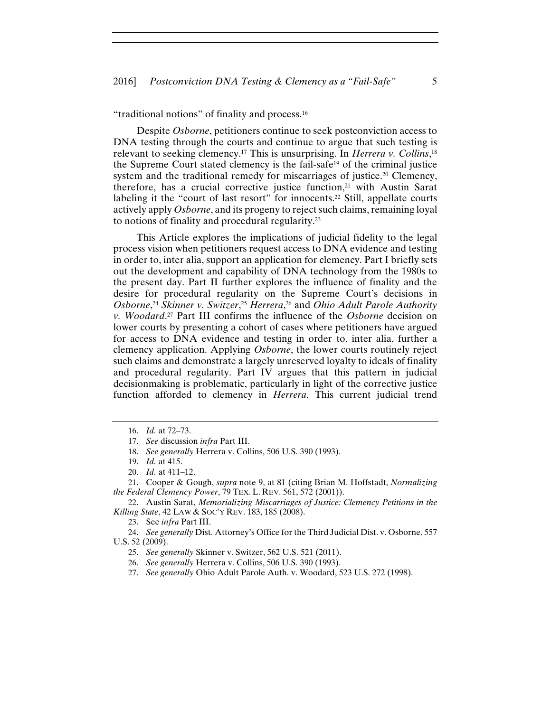"traditional notions" of finality and process.16

Despite *Osborne*, petitioners continue to seek postconviction access to DNA testing through the courts and continue to argue that such testing is relevant to seeking clemency.17 This is unsurprising. In *Herrera v. Collins*, 18 the Supreme Court stated clemency is the fail-safe19 of the criminal justice system and the traditional remedy for miscarriages of justice.<sup>20</sup> Clemency, therefore, has a crucial corrective justice function,21 with Austin Sarat labeling it the "court of last resort" for innocents.<sup>22</sup> Still, appellate courts actively apply *Osborne*, and its progeny to reject such claims, remaining loyal to notions of finality and procedural regularity.23

This Article explores the implications of judicial fidelity to the legal process vision when petitioners request access to DNA evidence and testing in order to, inter alia, support an application for clemency. Part I briefly sets out the development and capability of DNA technology from the 1980s to the present day. Part II further explores the influence of finality and the desire for procedural regularity on the Supreme Court's decisions in *Osborne*, <sup>24</sup> *Skinner v. Switzer*, <sup>25</sup> *Herrera*, 26 and *Ohio Adult Parole Authority v. Woodard*. <sup>27</sup> Part III confirms the influence of the *Osborne* decision on lower courts by presenting a cohort of cases where petitioners have argued for access to DNA evidence and testing in order to, inter alia, further a clemency application. Applying *Osborne*, the lower courts routinely reject such claims and demonstrate a largely unreserved loyalty to ideals of finality and procedural regularity. Part IV argues that this pattern in judicial decisionmaking is problematic, particularly in light of the corrective justice function afforded to clemency in *Herrera*. This current judicial trend

22. Austin Sarat, *Memorializing Miscarriages of Justice: Clemency Petitions in the Killing State*, 42 LAW & SOC'Y REV. 183, 185 (2008).

23. See *infra* Part III.

24. *See generally* Dist. Attorney's Office for the Third Judicial Dist. v. Osborne, 557 U.S. 52 (2009).

25. *See generally* Skinner v. Switzer, 562 U.S. 521 (2011).

26. *See generally* Herrera v. Collins, 506 U.S. 390 (1993).

27. *See generally* Ohio Adult Parole Auth. v. Woodard, 523 U.S. 272 (1998).

<sup>16.</sup> *Id.* at 72–73.

<sup>17.</sup> *See* discussion *infra* Part III.

<sup>18.</sup> *See generally* Herrera v. Collins, 506 U.S. 390 (1993).

<sup>19.</sup> *Id.* at 415.

<sup>20.</sup> *Id.* at 411–12.

<sup>21.</sup> Cooper & Gough, *supra* note 9, at 81 (citing Brian M. Hoffstadt, *Normalizing the Federal Clemency Power*, 79 TEX. L. REV. 561, 572 (2001)).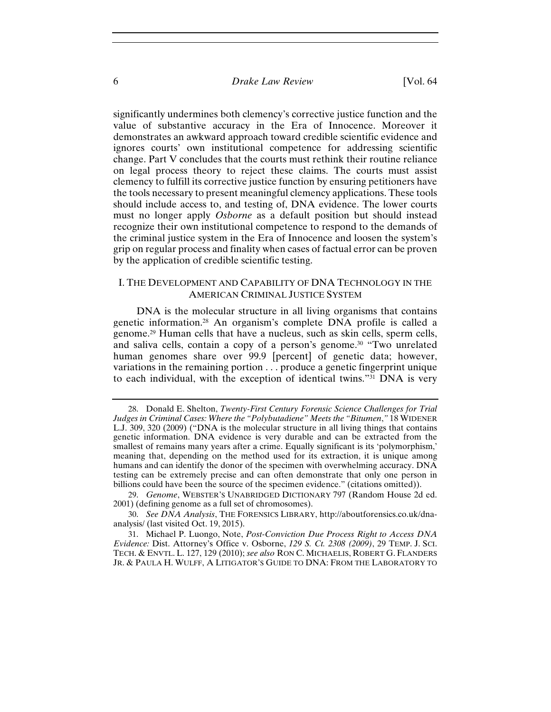significantly undermines both clemency's corrective justice function and the value of substantive accuracy in the Era of Innocence. Moreover it demonstrates an awkward approach toward credible scientific evidence and ignores courts' own institutional competence for addressing scientific change. Part V concludes that the courts must rethink their routine reliance on legal process theory to reject these claims. The courts must assist clemency to fulfill its corrective justice function by ensuring petitioners have the tools necessary to present meaningful clemency applications. These tools should include access to, and testing of, DNA evidence. The lower courts must no longer apply *Osborne* as a default position but should instead recognize their own institutional competence to respond to the demands of the criminal justice system in the Era of Innocence and loosen the system's grip on regular process and finality when cases of factual error can be proven by the application of credible scientific testing.

### I. THE DEVELOPMENT AND CAPABILITY OF DNA TECHNOLOGY IN THE AMERICAN CRIMINAL JUSTICE SYSTEM

DNA is the molecular structure in all living organisms that contains genetic information.28 An organism's complete DNA profile is called a genome.29 Human cells that have a nucleus, such as skin cells, sperm cells, and saliva cells, contain a copy of a person's genome.30 "Two unrelated human genomes share over 99.9 [percent] of genetic data; however, variations in the remaining portion . . . produce a genetic fingerprint unique to each individual, with the exception of identical twins."31 DNA is very

29. *Genome*, WEBSTER'S UNABRIDGED DICTIONARY 797 (Random House 2d ed. 2001) (defining genome as a full set of chromosomes).

30. *See DNA Analysis*, THE FORENSICS LIBRARY, http://aboutforensics.co.uk/dnaanalysis/ (last visited Oct. 19, 2015).

31. Michael P. Luongo, Note, *Post-Conviction Due Process Right to Access DNA Evidence:* Dist. Attorney's Office v. Osborne, *129 S. Ct. 2308 (2009)*, 29 TEMP. J. SCI. TECH. & ENVTL. L. 127, 129 (2010); *see also* RON C. MICHAELIS, ROBERT G. FLANDERS JR. & PAULA H. WULFF, A LITIGATOR'S GUIDE TO DNA: FROM THE LABORATORY TO

<sup>28.</sup> Donald E. Shelton, *Twenty-First Century Forensic Science Challenges for Trial Judges in Criminal Cases: Where the "Polybutadiene" Meets the "Bitumen*,*"* 18 WIDENER L.J. 309, 320 (2009) ("DNA is the molecular structure in all living things that contains genetic information. DNA evidence is very durable and can be extracted from the smallest of remains many years after a crime. Equally significant is its 'polymorphism,' meaning that, depending on the method used for its extraction, it is unique among humans and can identify the donor of the specimen with overwhelming accuracy. DNA testing can be extremely precise and can often demonstrate that only one person in billions could have been the source of the specimen evidence." (citations omitted)).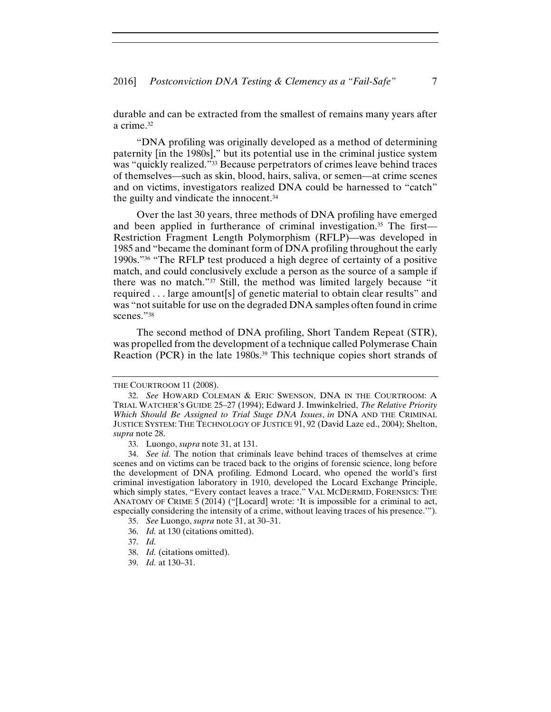durable and can be extracted from the smallest of remains many years after a crime.32

"DNA profiling was originally developed as a method of determining paternity [in the 1980s]," but its potential use in the criminal justice system was "quickly realized."33 Because perpetrators of crimes leave behind traces of themselves—such as skin, blood, hairs, saliva, or semen—at crime scenes and on victims, investigators realized DNA could be harnessed to "catch" the guilty and vindicate the innocent.34

Over the last 30 years, three methods of DNA profiling have emerged and been applied in furtherance of criminal investigation.<sup>35</sup> The first— Restriction Fragment Length Polymorphism (RFLP)—was developed in 1985 and "became the dominant form of DNA profiling throughout the early 1990s."36 "The RFLP test produced a high degree of certainty of a positive match, and could conclusively exclude a person as the source of a sample if there was no match."37 Still, the method was limited largely because "it required . . . large amount[s] of genetic material to obtain clear results" and was "not suitable for use on the degraded DNA samples often found in crime scenes."<sup>38</sup>

The second method of DNA profiling, Short Tandem Repeat (STR), was propelled from the development of a technique called Polymerase Chain Reaction (PCR) in the late 1980s.<sup>39</sup> This technique copies short strands of

THE COURTROOM 11 (2008).

<sup>32.</sup> *See* HOWARD COLEMAN & ERIC SWENSON, DNA IN THE COURTROOM: A TRIAL WATCHER'S GUIDE 25–27 (1994); Edward J. Imwinkelried, *The Relative Priority Which Should Be Assigned to Trial Stage DNA Issues*, *in* DNA AND THE CRIMINAL JUSTICE SYSTEM: THE TECHNOLOGY OF JUSTICE 91, 92 (David Laze ed., 2004); Shelton, *supra* note 28.

<sup>33.</sup> Luongo, *supra* note 31, at 131.

<sup>34.</sup> *See id.* The notion that criminals leave behind traces of themselves at crime scenes and on victims can be traced back to the origins of forensic science, long before the development of DNA profiling. Edmond Locard, who opened the world's first criminal investigation laboratory in 1910, developed the Locard Exchange Principle, which simply states, "Every contact leaves a trace." VAL MCDERMID, FORENSICS: THE ANATOMY OF CRIME 5 (2014) ("[Locard] wrote: 'It is impossible for a criminal to act, especially considering the intensity of a crime, without leaving traces of his presence.'").

<sup>35.</sup> *See* Luongo, *supra* note 31, at 30–31.

<sup>36.</sup> *Id.* at 130 (citations omitted).

<sup>37.</sup> *Id.*

<sup>38.</sup> *Id.* (citations omitted).

<sup>39.</sup> *Id.* at 130–31.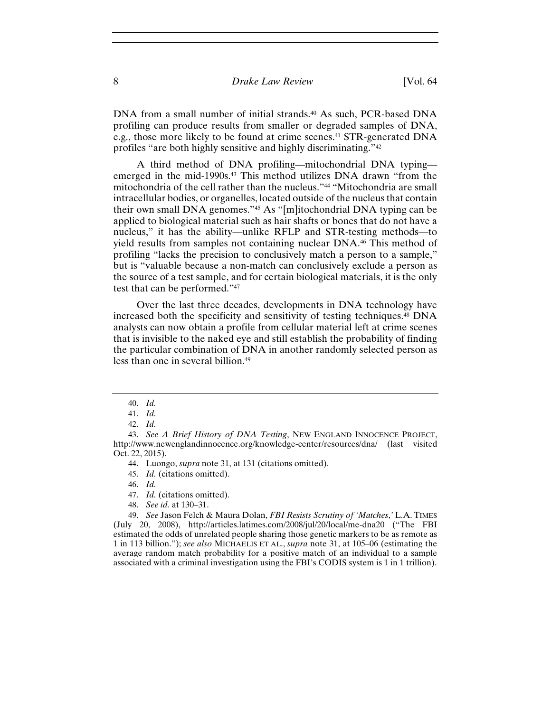DNA from a small number of initial strands.<sup>40</sup> As such, PCR-based DNA profiling can produce results from smaller or degraded samples of DNA, e.g., those more likely to be found at crime scenes.41 STR-generated DNA profiles "are both highly sensitive and highly discriminating."42

A third method of DNA profiling—mitochondrial DNA typing emerged in the mid-1990s.<sup>43</sup> This method utilizes DNA drawn "from the mitochondria of the cell rather than the nucleus."44 "Mitochondria are small intracellular bodies, or organelles, located outside of the nucleus that contain their own small DNA genomes."45 As "[m]itochondrial DNA typing can be applied to biological material such as hair shafts or bones that do not have a nucleus," it has the ability—unlike RFLP and STR-testing methods—to yield results from samples not containing nuclear DNA.46 This method of profiling "lacks the precision to conclusively match a person to a sample," but is "valuable because a non-match can conclusively exclude a person as the source of a test sample, and for certain biological materials, it is the only test that can be performed."47

Over the last three decades, developments in DNA technology have increased both the specificity and sensitivity of testing techniques.48 DNA analysts can now obtain a profile from cellular material left at crime scenes that is invisible to the naked eye and still establish the probability of finding the particular combination of DNA in another randomly selected person as less than one in several billion.49

46. *Id.*

- 47. *Id.* (citations omitted).
- 48. *See id.* at 130–31.

49. *See* Jason Felch & Maura Dolan, *FBI Resists Scrutiny of 'Matches*,*'* L.A. TIMES (July 20, 2008), http://articles.latimes.com/2008/jul/20/local/me-dna20 ("The FBI estimated the odds of unrelated people sharing those genetic markers to be as remote as 1 in 113 billion."); *see also* MICHAELIS ET AL., *supra* note 31, at 105–06 (estimating the average random match probability for a positive match of an individual to a sample associated with a criminal investigation using the FBI's CODIS system is 1 in 1 trillion).

<sup>40.</sup> *Id.*

<sup>41.</sup> *Id.*

<sup>42.</sup> *Id.*

<sup>43.</sup> *See A Brief History of DNA Testing*, NEW ENGLAND INNOCENCE PROJECT, http://www.newenglandinnocence.org/knowledge-center/resources/dna/ (last visited Oct. 22, 2015).

<sup>44.</sup> Luongo, *supra* note 31, at 131 (citations omitted).

<sup>45.</sup> *Id.* (citations omitted).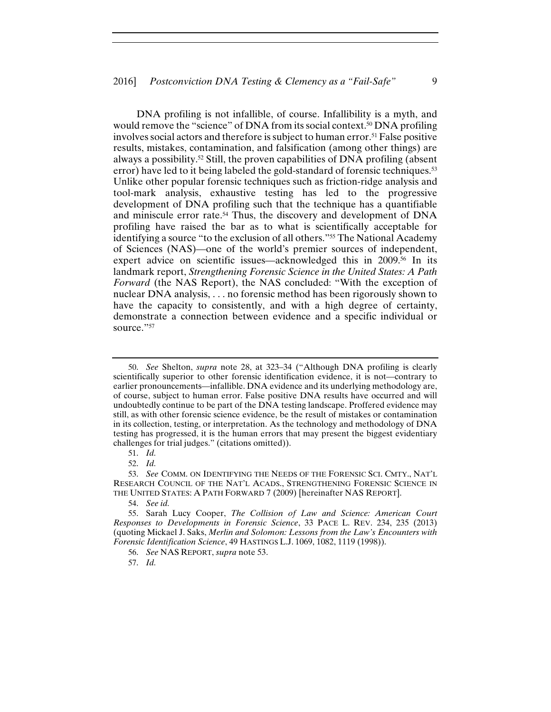DNA profiling is not infallible, of course. Infallibility is a myth, and would remove the "science" of DNA from its social context.<sup>50</sup> DNA profiling involves social actors and therefore is subject to human error.51 False positive results, mistakes, contamination, and falsification (among other things) are always a possibility.52 Still, the proven capabilities of DNA profiling (absent error) have led to it being labeled the gold-standard of forensic techniques.53 Unlike other popular forensic techniques such as friction-ridge analysis and tool-mark analysis, exhaustive testing has led to the progressive development of DNA profiling such that the technique has a quantifiable and miniscule error rate.54 Thus, the discovery and development of DNA profiling have raised the bar as to what is scientifically acceptable for identifying a source "to the exclusion of all others."55 The National Academy of Sciences (NAS)—one of the world's premier sources of independent, expert advice on scientific issues—acknowledged this in 2009.<sup>56</sup> In its landmark report, *Strengthening Forensic Science in the United States: A Path Forward* (the NAS Report), the NAS concluded: "With the exception of nuclear DNA analysis, . . . no forensic method has been rigorously shown to have the capacity to consistently, and with a high degree of certainty, demonstrate a connection between evidence and a specific individual or source."<sup>57</sup>

57. *Id.*

<sup>50.</sup> *See* Shelton, *supra* note 28, at 323–34 ("Although DNA profiling is clearly scientifically superior to other forensic identification evidence, it is not—contrary to earlier pronouncements—infallible. DNA evidence and its underlying methodology are, of course, subject to human error. False positive DNA results have occurred and will undoubtedly continue to be part of the DNA testing landscape. Proffered evidence may still, as with other forensic science evidence, be the result of mistakes or contamination in its collection, testing, or interpretation. As the technology and methodology of DNA testing has progressed, it is the human errors that may present the biggest evidentiary challenges for trial judges." (citations omitted)).

<sup>51.</sup> *Id.*

<sup>52.</sup> *Id.*

<sup>53.</sup> *See* COMM. ON IDENTIFYING THE NEEDS OF THE FORENSIC SCI. CMTY., NAT'L RESEARCH COUNCIL OF THE NAT'L ACADS., STRENGTHENING FORENSIC SCIENCE IN THE UNITED STATES: A PATH FORWARD 7 (2009) [hereinafter NAS REPORT].

<sup>54.</sup> *See id.*

<sup>55.</sup> Sarah Lucy Cooper, *The Collision of Law and Science: American Court Responses to Developments in Forensic Science*, 33 PACE L. REV. 234, 235 (2013) (quoting Mickael J. Saks, *Merlin and Solomon: Lessons from the Law's Encounters with Forensic Identification Science*, 49 HASTINGS L.J. 1069, 1082, 1119 (1998)).

<sup>56.</sup> *See* NAS REPORT, *supra* note 53.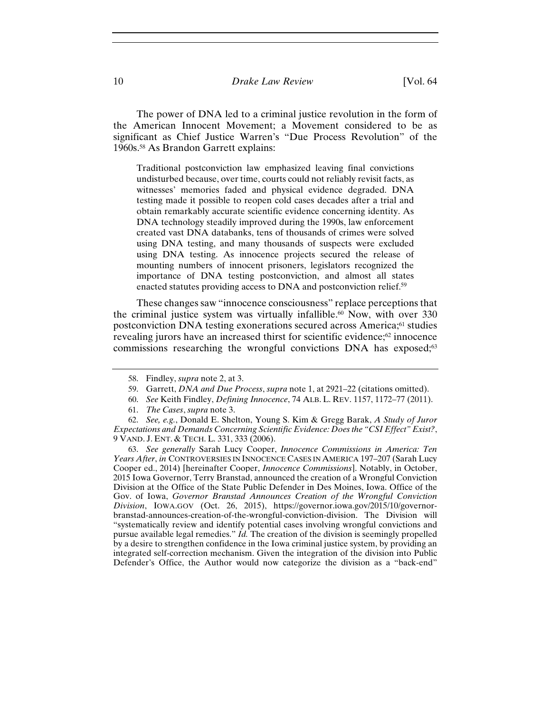The power of DNA led to a criminal justice revolution in the form of the American Innocent Movement; a Movement considered to be as significant as Chief Justice Warren's "Due Process Revolution" of the 1960s.58 As Brandon Garrett explains:

Traditional postconviction law emphasized leaving final convictions undisturbed because, over time, courts could not reliably revisit facts, as witnesses' memories faded and physical evidence degraded. DNA testing made it possible to reopen cold cases decades after a trial and obtain remarkably accurate scientific evidence concerning identity. As DNA technology steadily improved during the 1990s, law enforcement created vast DNA databanks, tens of thousands of crimes were solved using DNA testing, and many thousands of suspects were excluded using DNA testing. As innocence projects secured the release of mounting numbers of innocent prisoners, legislators recognized the importance of DNA testing postconviction, and almost all states enacted statutes providing access to DNA and postconviction relief.59

These changes saw "innocence consciousness" replace perceptions that the criminal justice system was virtually infallible.<sup>60</sup> Now, with over 330 postconviction DNA testing exonerations secured across America;61 studies revealing jurors have an increased thirst for scientific evidence;62 innocence commissions researching the wrongful convictions DNA has exposed;<sup>63</sup>

60. *See* Keith Findley, *Defining Innocence*, 74 ALB. L. REV. 1157, 1172–77 (2011).

63. *See generally* Sarah Lucy Cooper, *Innocence Commissions in America: Ten Years After*, *in* CONTROVERSIES IN INNOCENCE CASES IN AMERICA 197–207 (Sarah Lucy Cooper ed., 2014) [hereinafter Cooper, *Innocence Commissions*]. Notably, in October, 2015 Iowa Governor, Terry Branstad, announced the creation of a Wrongful Conviction Division at the Office of the State Public Defender in Des Moines, Iowa. Office of the Gov. of Iowa, *Governor Branstad Announces Creation of the Wrongful Conviction Division*, IOWA.GOV (Oct. 26, 2015), https://governor.iowa.gov/2015/10/governorbranstad-announces-creation-of-the-wrongful-conviction-division. The Division will "systematically review and identify potential cases involving wrongful convictions and pursue available legal remedies." *Id.* The creation of the division is seemingly propelled by a desire to strengthen confidence in the Iowa criminal justice system, by providing an integrated self-correction mechanism. Given the integration of the division into Public Defender's Office, the Author would now categorize the division as a "back-end"

<sup>58.</sup> Findley, *supra* note 2, at 3.

<sup>59.</sup> Garrett, *DNA and Due Process*, *supra* note 1, at 2921–22 (citations omitted).

<sup>61.</sup> *The Cases*, *supra* note 3.

<sup>62.</sup> *See, e.g.*, Donald E. Shelton, Young S. Kim & Gregg Barak, *A Study of Juror Expectations and Demands Concerning Scientific Evidence: Does the "CSI Effect" Exist?*, 9 VAND. J. ENT. & TECH. L. 331, 333 (2006).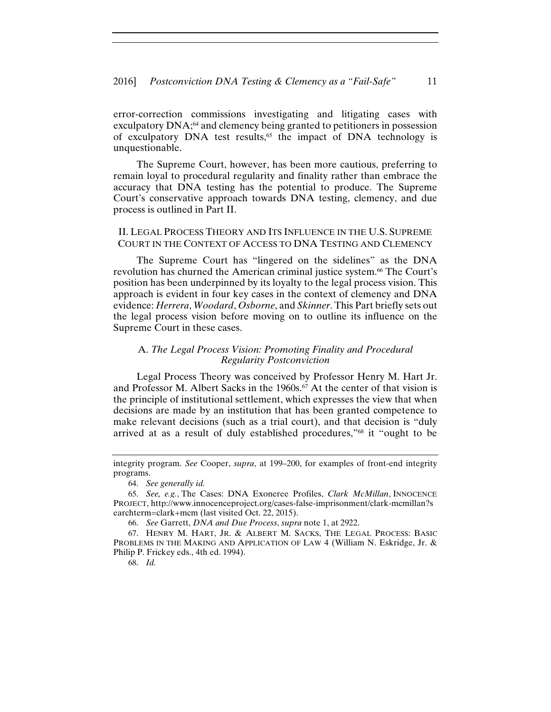error-correction commissions investigating and litigating cases with exculpatory  $DNA$ ; $^{64}$  and clemency being granted to petitioners in possession of exculpatory DNA test results,<sup>65</sup> the impact of DNA technology is unquestionable.

The Supreme Court, however, has been more cautious, preferring to remain loyal to procedural regularity and finality rather than embrace the accuracy that DNA testing has the potential to produce. The Supreme Court's conservative approach towards DNA testing, clemency, and due process is outlined in Part II.

#### II. LEGAL PROCESS THEORY AND ITS INFLUENCE IN THE U.S. SUPREME COURT IN THE CONTEXT OF ACCESS TO DNA TESTING AND CLEMENCY

The Supreme Court has "lingered on the sidelines" as the DNA revolution has churned the American criminal justice system.<sup>66</sup> The Court's position has been underpinned by its loyalty to the legal process vision. This approach is evident in four key cases in the context of clemency and DNA evidence: *Herrera*, *Woodard*, *Osborne*, and *Skinner*. This Part briefly sets out the legal process vision before moving on to outline its influence on the Supreme Court in these cases.

#### A. *The Legal Process Vision: Promoting Finality and Procedural Regularity Postconviction*

Legal Process Theory was conceived by Professor Henry M. Hart Jr. and Professor M. Albert Sacks in the 1960s.<sup>67</sup> At the center of that vision is the principle of institutional settlement, which expresses the view that when decisions are made by an institution that has been granted competence to make relevant decisions (such as a trial court), and that decision is "duly arrived at as a result of duly established procedures,"68 it "ought to be

66. *See* Garrett, *DNA and Due Process*, *supra* note 1, at 2922.

68. *Id.*

integrity program. *See* Cooper, *supra*, at 199–200, for examples of front-end integrity programs.

<sup>64.</sup> *See generally id.*

<sup>65.</sup> *See, e.g.*, The Cases: DNA Exoneree Profiles, *Clark McMillan*, INNOCENCE PROJECT, http://www.innocenceproject.org/cases-false-imprisonment/clark-mcmillan?s earchterm=clark+mcm (last visited Oct. 22, 2015).

<sup>67.</sup> HENRY M. HART, JR. & ALBERT M. SACKS, THE LEGAL PROCESS: BASIC PROBLEMS IN THE MAKING AND APPLICATION OF LAW 4 (William N. Eskridge, Jr. & Philip P. Frickey eds., 4th ed. 1994).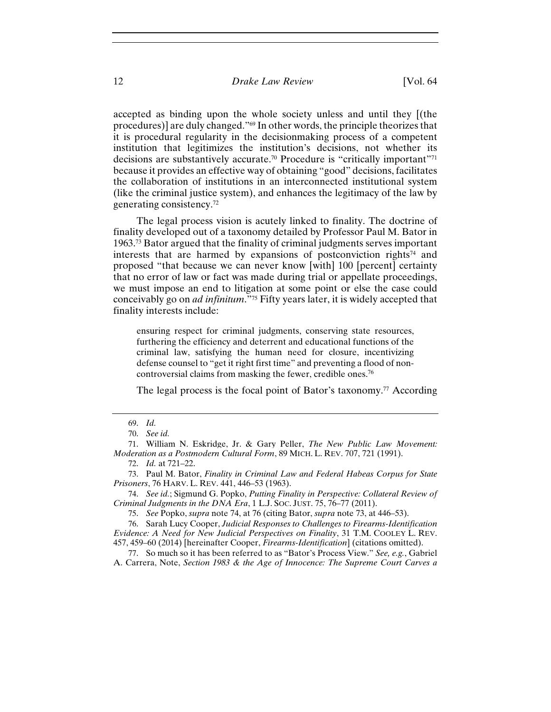accepted as binding upon the whole society unless and until they [(the procedures)] are duly changed."69 In other words, the principle theorizes that it is procedural regularity in the decisionmaking process of a competent institution that legitimizes the institution's decisions, not whether its decisions are substantively accurate.70 Procedure is "critically important"71 because it provides an effective way of obtaining "good" decisions, facilitates the collaboration of institutions in an interconnected institutional system (like the criminal justice system), and enhances the legitimacy of the law by generating consistency.72

The legal process vision is acutely linked to finality. The doctrine of finality developed out of a taxonomy detailed by Professor Paul M. Bator in 1963.73 Bator argued that the finality of criminal judgments serves important interests that are harmed by expansions of postconviction rights<sup> $74$ </sup> and proposed "that because we can never know [with] 100 [percent] certainty that no error of law or fact was made during trial or appellate proceedings, we must impose an end to litigation at some point or else the case could conceivably go on *ad infinitum*."75 Fifty years later, it is widely accepted that finality interests include:

ensuring respect for criminal judgments, conserving state resources, furthering the efficiency and deterrent and educational functions of the criminal law, satisfying the human need for closure, incentivizing defense counsel to "get it right first time" and preventing a flood of noncontroversial claims from masking the fewer, credible ones.76

The legal process is the focal point of Bator's taxonomy.<sup>77</sup> According

<sup>69.</sup> *Id.*

<sup>70.</sup> *See id.*

<sup>71.</sup> William N. Eskridge, Jr. & Gary Peller, *The New Public Law Movement: Moderation as a Postmodern Cultural Form*, 89 MICH. L. REV. 707, 721 (1991).

<sup>72.</sup> *Id.* at 721–22.

<sup>73.</sup> Paul M. Bator, *Finality in Criminal Law and Federal Habeas Corpus for State Prisoners*, 76 HARV. L. REV. 441, 446–53 (1963).

<sup>74.</sup> *See id.*; Sigmund G. Popko, *Putting Finality in Perspective: Collateral Review of Criminal Judgments in the DNA Era*, 1 L.J. SOC. JUST. 75, 76–77 (2011).

<sup>75.</sup> *See* Popko, *supra* note 74, at 76 (citing Bator, *supra* note 73, at 446–53).

<sup>76.</sup> Sarah Lucy Cooper, *Judicial Responses to Challenges to Firearms-Identification Evidence: A Need for New Judicial Perspectives on Finality*, 31 T.M. COOLEY L. REV. 457, 459–60 (2014) [hereinafter Cooper, *Firearms-Identification*] (citations omitted).

<sup>77.</sup> So much so it has been referred to as "Bator's Process View." *See, e.g.*, Gabriel A. Carrera, Note, *Section 1983 & the Age of Innocence: The Supreme Court Carves a*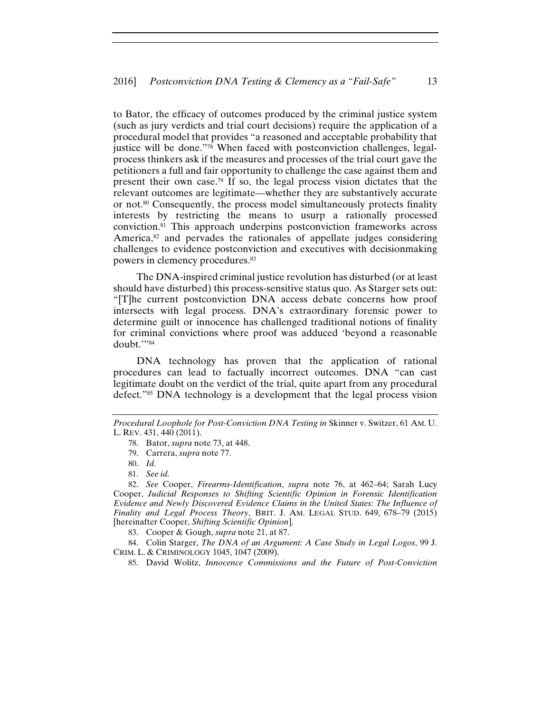to Bator, the efficacy of outcomes produced by the criminal justice system (such as jury verdicts and trial court decisions) require the application of a procedural model that provides "a reasoned and acceptable probability that justice will be done."78 When faced with postconviction challenges, legalprocess thinkers ask if the measures and processes of the trial court gave the petitioners a full and fair opportunity to challenge the case against them and present their own case.79 If so, the legal process vision dictates that the relevant outcomes are legitimate—whether they are substantively accurate or not.80 Consequently, the process model simultaneously protects finality interests by restricting the means to usurp a rationally processed conviction.81 This approach underpins postconviction frameworks across America,<sup>82</sup> and pervades the rationales of appellate judges considering challenges to evidence postconviction and executives with decisionmaking powers in clemency procedures.83

The DNA-inspired criminal justice revolution has disturbed (or at least should have disturbed) this process-sensitive status quo. As Starger sets out: "[T]he current postconviction DNA access debate concerns how proof intersects with legal process. DNA's extraordinary forensic power to determine guilt or innocence has challenged traditional notions of finality for criminal convictions where proof was adduced 'beyond a reasonable doubt.'"84

DNA technology has proven that the application of rational procedures can lead to factually incorrect outcomes. DNA "can cast legitimate doubt on the verdict of the trial, quite apart from any procedural defect."85 DNA technology is a development that the legal process vision

84. Colin Starger, *The DNA of an Argument: A Case Study in Legal Logos*, 99 J. CRIM. L. & CRIMINOLOGY 1045, 1047 (2009).

85. David Wolitz, *Innocence Commissions and the Future of Post-Conviction* 

*Procedural Loophole for Post-Conviction DNA Testing in* Skinner v. Switzer, 61 AM. U. L. REV. 431, 440 (2011).

<sup>78.</sup> Bator, *supra* note 73, at 448.

<sup>79.</sup> Carrera, *supra* note 77.

<sup>80.</sup> *Id.*

<sup>81.</sup> *See id.*

<sup>82.</sup> *See* Cooper, *Firearms-Identification*, *supra* note 76, at 462–64; Sarah Lucy Cooper, *Judicial Responses to Shifting Scientific Opinion in Forensic Identification Evidence and Newly Discovered Evidence Claims in the United States: The Influence of Finality and Legal Process Theory*, BRIT. J. AM. LEGAL STUD. 649, 678–79 (2015) [hereinafter Cooper, *Shifting Scientific Opinion*].

<sup>83.</sup> Cooper & Gough, *supra* note 21, at 87.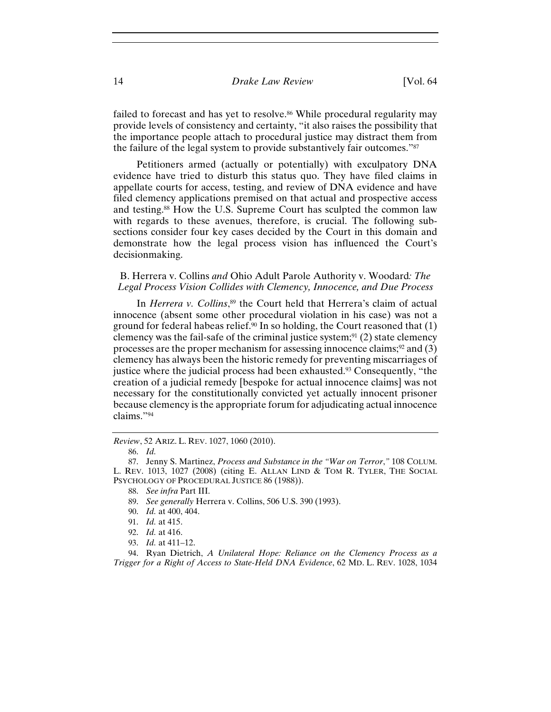failed to forecast and has yet to resolve.<sup>86</sup> While procedural regularity may provide levels of consistency and certainty, "it also raises the possibility that the importance people attach to procedural justice may distract them from the failure of the legal system to provide substantively fair outcomes."87

Petitioners armed (actually or potentially) with exculpatory DNA evidence have tried to disturb this status quo. They have filed claims in appellate courts for access, testing, and review of DNA evidence and have filed clemency applications premised on that actual and prospective access and testing.88 How the U.S. Supreme Court has sculpted the common law with regards to these avenues, therefore, is crucial. The following subsections consider four key cases decided by the Court in this domain and demonstrate how the legal process vision has influenced the Court's decisionmaking.

#### B. Herrera v. Collins *and* Ohio Adult Parole Authority v. Woodard*: The Legal Process Vision Collides with Clemency, Innocence, and Due Process*

In *Herrera v. Collins*, 89 the Court held that Herrera's claim of actual innocence (absent some other procedural violation in his case) was not a ground for federal habeas relief.<sup>90</sup> In so holding, the Court reasoned that  $(1)$ clemency was the fail-safe of the criminal justice system;<sup>91</sup> (2) state clemency processes are the proper mechanism for assessing innocence claims; $\frac{92}{2}$  and (3) clemency has always been the historic remedy for preventing miscarriages of justice where the judicial process had been exhausted.<sup>93</sup> Consequently, "the creation of a judicial remedy [bespoke for actual innocence claims] was not necessary for the constitutionally convicted yet actually innocent prisoner because clemency is the appropriate forum for adjudicating actual innocence claims."94

*Review*, 52 ARIZ. L. REV. 1027, 1060 (2010).

<sup>86.</sup> *Id.*

<sup>87.</sup> Jenny S. Martinez, *Process and Substance in the "War on Terror*,*"* 108 COLUM. L. REV. 1013, 1027 (2008) (citing E. ALLAN LIND & TOM R. TYLER, THE SOCIAL PSYCHOLOGY OF PROCEDURAL JUSTICE 86 (1988)).

<sup>88.</sup> *See infra* Part III.

<sup>89.</sup> *See generally* Herrera v. Collins, 506 U.S. 390 (1993).

<sup>90.</sup> *Id.* at 400, 404.

<sup>91.</sup> *Id.* at 415.

<sup>92.</sup> *Id.* at 416.

<sup>93.</sup> *Id.* at 411–12.

<sup>94.</sup> Ryan Dietrich, *A Unilateral Hope: Reliance on the Clemency Process as a Trigger for a Right of Access to State-Held DNA Evidence*, 62 MD. L. REV. 1028, 1034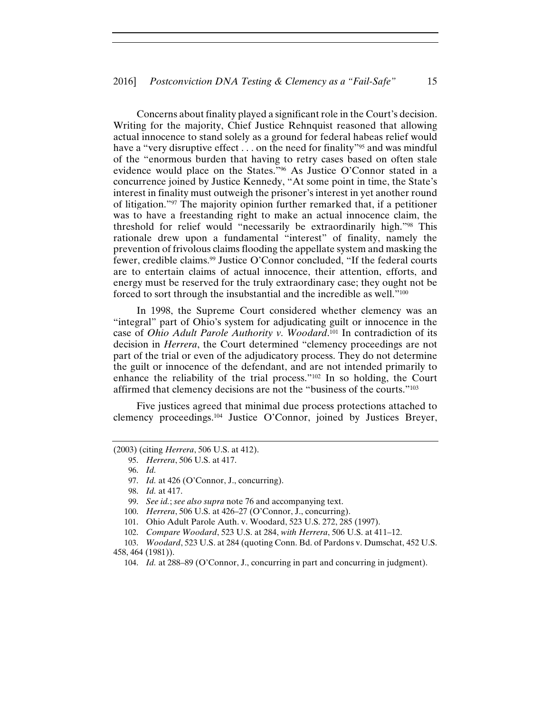Concerns about finality played a significant role in the Court's decision. Writing for the majority, Chief Justice Rehnquist reasoned that allowing actual innocence to stand solely as a ground for federal habeas relief would have a "very disruptive effect . . . on the need for finality"<sup>95</sup> and was mindful of the "enormous burden that having to retry cases based on often stale evidence would place on the States."96 As Justice O'Connor stated in a concurrence joined by Justice Kennedy, "At some point in time, the State's interest in finality must outweigh the prisoner's interest in yet another round of litigation."97 The majority opinion further remarked that, if a petitioner was to have a freestanding right to make an actual innocence claim, the threshold for relief would "necessarily be extraordinarily high."98 This rationale drew upon a fundamental "interest" of finality, namely the prevention of frivolous claims flooding the appellate system and masking the fewer, credible claims.<sup>99</sup> Justice O'Connor concluded, "If the federal courts are to entertain claims of actual innocence, their attention, efforts, and energy must be reserved for the truly extraordinary case; they ought not be forced to sort through the insubstantial and the incredible as well."100

In 1998, the Supreme Court considered whether clemency was an "integral" part of Ohio's system for adjudicating guilt or innocence in the case of *Ohio Adult Parole Authority v. Woodard*. 101 In contradiction of its decision in *Herrera*, the Court determined "clemency proceedings are not part of the trial or even of the adjudicatory process. They do not determine the guilt or innocence of the defendant, and are not intended primarily to enhance the reliability of the trial process."102 In so holding, the Court affirmed that clemency decisions are not the "business of the courts."103

Five justices agreed that minimal due process protections attached to clemency proceedings.104 Justice O'Connor, joined by Justices Breyer,

<sup>(2003) (</sup>citing *Herrera*, 506 U.S. at 412).

<sup>95.</sup> *Herrera*, 506 U.S. at 417.

<sup>96.</sup> *Id.*

<sup>97.</sup> *Id.* at 426 (O'Connor, J., concurring).

<sup>98.</sup> *Id.* at 417.

<sup>99.</sup> *See id.*; *see also supra* note 76 and accompanying text.

<sup>100.</sup> *Herrera*, 506 U.S. at 426–27 (O'Connor, J., concurring).

<sup>101.</sup> Ohio Adult Parole Auth. v. Woodard, 523 U.S. 272, 285 (1997).

<sup>102.</sup> *Compare Woodard*, 523 U.S. at 284, *with Herrera*, 506 U.S. at 411–12.

<sup>103.</sup> *Woodard*, 523 U.S. at 284 (quoting Conn. Bd. of Pardons v. Dumschat, 452 U.S. 458, 464 (1981)).

<sup>104.</sup> *Id.* at 288–89 (O'Connor, J., concurring in part and concurring in judgment).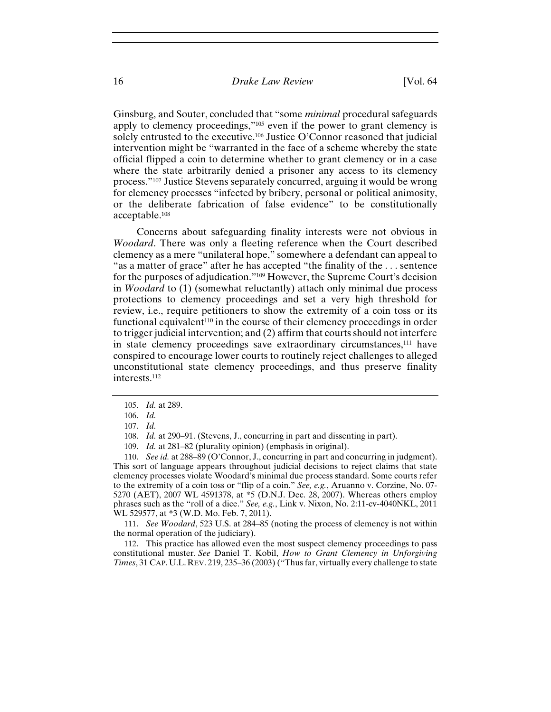Ginsburg, and Souter, concluded that "some *minimal* procedural safeguards apply to clemency proceedings,"105 even if the power to grant clemency is solely entrusted to the executive.<sup>106</sup> Justice O'Connor reasoned that judicial intervention might be "warranted in the face of a scheme whereby the state official flipped a coin to determine whether to grant clemency or in a case where the state arbitrarily denied a prisoner any access to its clemency process."107 Justice Stevens separately concurred, arguing it would be wrong for clemency processes "infected by bribery, personal or political animosity, or the deliberate fabrication of false evidence" to be constitutionally acceptable.108

Concerns about safeguarding finality interests were not obvious in *Woodard*. There was only a fleeting reference when the Court described clemency as a mere "unilateral hope," somewhere a defendant can appeal to "as a matter of grace" after he has accepted "the finality of the . . . sentence for the purposes of adjudication."109 However, the Supreme Court's decision in *Woodard* to (1) (somewhat reluctantly) attach only minimal due process protections to clemency proceedings and set a very high threshold for review, i.e., require petitioners to show the extremity of a coin toss or its functional equivalent<sup>110</sup> in the course of their clemency proceedings in order to trigger judicial intervention; and (2) affirm that courts should not interfere in state clemency proceedings save extraordinary circumstances,111 have conspired to encourage lower courts to routinely reject challenges to alleged unconstitutional state clemency proceedings, and thus preserve finality interests.112

110. *See id.* at 288–89 (O'Connor, J., concurring in part and concurring in judgment). This sort of language appears throughout judicial decisions to reject claims that state clemency processes violate Woodard's minimal due process standard. Some courts refer to the extremity of a coin toss or "flip of a coin." *See, e.g.*, Aruanno v. Corzine, No. 07- 5270 (AET), 2007 WL 4591378, at \*5 (D.N.J. Dec. 28, 2007). Whereas others employ phrases such as the "roll of a dice." *See, e.g.*, Link v. Nixon, No. 2:11-cv-4040NKL, 2011 WL 529577, at \*3 (W.D. Mo. Feb. 7, 2011).

111. *See Woodard*, 523 U.S. at 284–85 (noting the process of clemency is not within the normal operation of the judiciary).

112. This practice has allowed even the most suspect clemency proceedings to pass constitutional muster. *See* Daniel T. Kobil, *How to Grant Clemency in Unforgiving Times*, 31 CAP. U.L.REV. 219, 235–36 (2003) ("Thus far, virtually every challenge to state

<sup>105.</sup> *Id.* at 289.

<sup>106.</sup> *Id.*

<sup>107.</sup> *Id.*

<sup>108.</sup> *Id.* at 290–91. (Stevens, J., concurring in part and dissenting in part).

<sup>109.</sup> *Id.* at 281–82 (plurality opinion) (emphasis in original).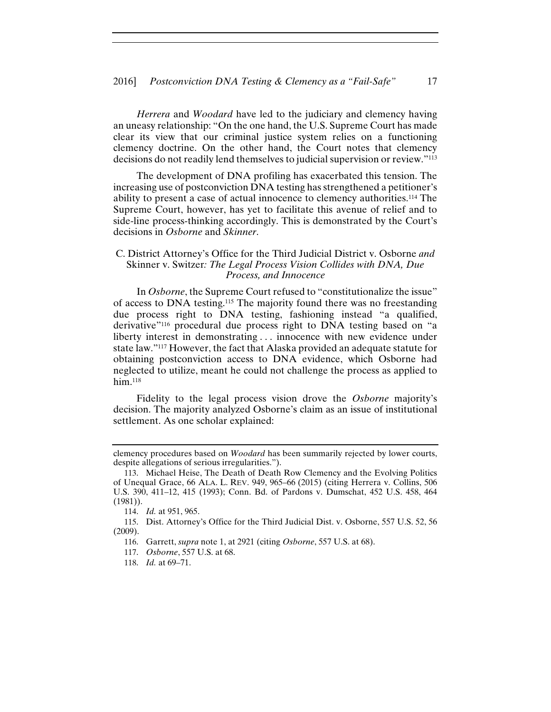*Herrera* and *Woodard* have led to the judiciary and clemency having an uneasy relationship: "On the one hand, the U.S. Supreme Court has made clear its view that our criminal justice system relies on a functioning clemency doctrine. On the other hand, the Court notes that clemency decisions do not readily lend themselves to judicial supervision or review."113

The development of DNA profiling has exacerbated this tension. The increasing use of postconviction DNA testing has strengthened a petitioner's ability to present a case of actual innocence to clemency authorities.114 The Supreme Court, however, has yet to facilitate this avenue of relief and to side-line process-thinking accordingly. This is demonstrated by the Court's decisions in *Osborne* and *Skinner*.

#### C. District Attorney's Office for the Third Judicial District v. Osborne *and*  Skinner v. Switzer*: The Legal Process Vision Collides with DNA, Due Process, and Innocence*

In *Osborne*, the Supreme Court refused to "constitutionalize the issue" of access to DNA testing.115 The majority found there was no freestanding due process right to DNA testing, fashioning instead "a qualified, derivative"116 procedural due process right to DNA testing based on "a liberty interest in demonstrating . . . innocence with new evidence under state law."117 However, the fact that Alaska provided an adequate statute for obtaining postconviction access to DNA evidence, which Osborne had neglected to utilize, meant he could not challenge the process as applied to  $h$ im.<sup>118</sup>

Fidelity to the legal process vision drove the *Osborne* majority's decision. The majority analyzed Osborne's claim as an issue of institutional settlement. As one scholar explained:

clemency procedures based on *Woodard* has been summarily rejected by lower courts, despite allegations of serious irregularities.").

<sup>113.</sup> Michael Heise, The Death of Death Row Clemency and the Evolving Politics of Unequal Grace, 66 ALA. L. REV. 949, 965–66 (2015) (citing Herrera v. Collins, 506 U.S. 390, 411–12, 415 (1993); Conn. Bd. of Pardons v. Dumschat, 452 U.S. 458, 464 (1981)).

<sup>114.</sup> *Id.* at 951, 965.

<sup>115.</sup> Dist. Attorney's Office for the Third Judicial Dist. v. Osborne, 557 U.S. 52, 56 (2009).

<sup>116.</sup> Garrett, *supra* note 1, at 2921 (citing *Osborne*, 557 U.S. at 68).

<sup>117.</sup> *Osborne*, 557 U.S. at 68.

<sup>118.</sup> *Id.* at 69–71.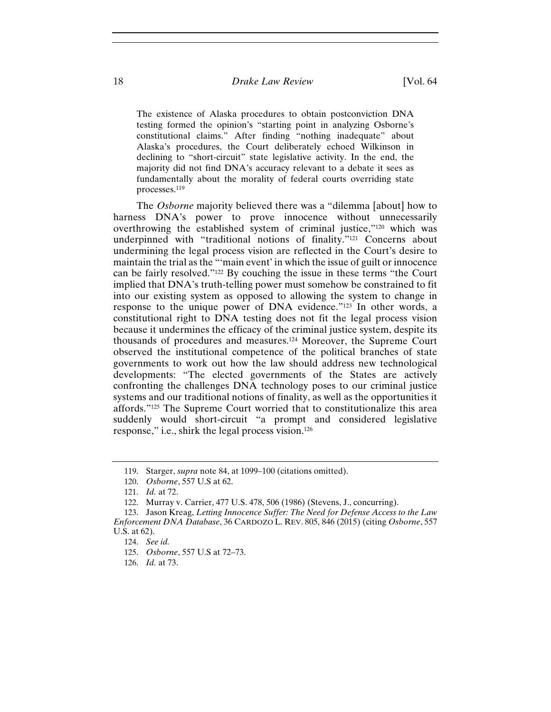The existence of Alaska procedures to obtain postconviction DNA testing formed the opinion's "starting point in analyzing Osborne's constitutional claims." After finding "nothing inadequate" about Alaska's procedures, the Court deliberately echoed Wilkinson in declining to "short-circuit" state legislative activity. In the end, the majority did not find DNA's accuracy relevant to a debate it sees as fundamentally about the morality of federal courts overriding state processes.119

The *Osborne* majority believed there was a "dilemma [about] how to harness DNA's power to prove innocence without unnecessarily overthrowing the established system of criminal justice,"120 which was underpinned with "traditional notions of finality."<sup>121</sup> Concerns about undermining the legal process vision are reflected in the Court's desire to maintain the trial as the "'main event' in which the issue of guilt or innocence can be fairly resolved."122 By couching the issue in these terms "the Court implied that DNA's truth-telling power must somehow be constrained to fit into our existing system as opposed to allowing the system to change in response to the unique power of DNA evidence."123 In other words, a constitutional right to DNA testing does not fit the legal process vision because it undermines the efficacy of the criminal justice system, despite its thousands of procedures and measures.124 Moreover, the Supreme Court observed the institutional competence of the political branches of state governments to work out how the law should address new technological developments: "The elected governments of the States are actively confronting the challenges DNA technology poses to our criminal justice systems and our traditional notions of finality, as well as the opportunities it affords."125 The Supreme Court worried that to constitutionalize this area suddenly would short-circuit "a prompt and considered legislative response," i.e., shirk the legal process vision.126

<sup>119.</sup> Starger, *supra* note 84, at 1099–100 (citations omitted).

<sup>120.</sup> *Osborne*, 557 U.S at 62.

<sup>121.</sup> *Id.* at 72.

<sup>122.</sup> Murray v. Carrier, 477 U.S. 478, 506 (1986) (Stevens, J., concurring).

<sup>123.</sup> Jason Kreag, *Letting Innocence Suffer: The Need for Defense Access to the Law Enforcement DNA Database*, 36 CARDOZO L. REV. 805, 846 (2015) (citing *Osborne*, 557 U.S. at 62).

<sup>124.</sup> *See id.*

<sup>125.</sup> *Osborne*, 557 U.S at 72–73.

<sup>126.</sup> *Id.* at 73.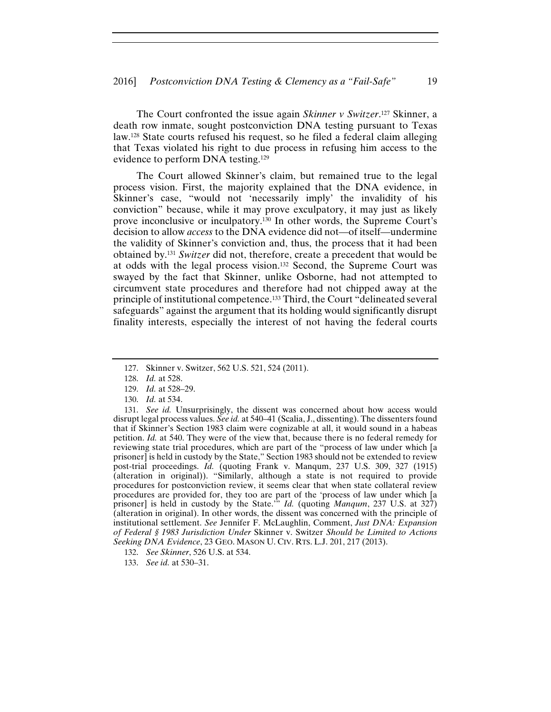The Court confronted the issue again *Skinner v Switzer*. 127 Skinner, a death row inmate, sought postconviction DNA testing pursuant to Texas law.128 State courts refused his request, so he filed a federal claim alleging that Texas violated his right to due process in refusing him access to the evidence to perform DNA testing.129

The Court allowed Skinner's claim, but remained true to the legal process vision. First, the majority explained that the DNA evidence, in Skinner's case, "would not 'necessarily imply' the invalidity of his conviction" because, while it may prove exculpatory, it may just as likely prove inconclusive or inculpatory.130 In other words, the Supreme Court's decision to allow *access* to the DNA evidence did not—of itself—undermine the validity of Skinner's conviction and, thus, the process that it had been obtained by.131 *Switzer* did not, therefore, create a precedent that would be at odds with the legal process vision.132 Second, the Supreme Court was swayed by the fact that Skinner, unlike Osborne, had not attempted to circumvent state procedures and therefore had not chipped away at the principle of institutional competence.133 Third, the Court "delineated several safeguards" against the argument that its holding would significantly disrupt finality interests, especially the interest of not having the federal courts

131. *See id.* Unsurprisingly, the dissent was concerned about how access would disrupt legal process values. *See id.* at 540–41 (Scalia, J., dissenting). The dissenters found that if Skinner's Section 1983 claim were cognizable at all, it would sound in a habeas petition. *Id.* at 540. They were of the view that, because there is no federal remedy for reviewing state trial procedures, which are part of the "process of law under which [a prisoner] is held in custody by the State," Section 1983 should not be extended to review post-trial proceedings. *Id.* (quoting Frank v. Manqum, 237 U.S. 309, 327 (1915) (alteration in original)). "Similarly, although a state is not required to provide procedures for postconviction review, it seems clear that when state collateral review procedures are provided for, they too are part of the 'process of law under which [a prisoner] is held in custody by the State.'" *Id.* (quoting *Manqum*, 237 U.S. at 327) (alteration in original). In other words, the dissent was concerned with the principle of institutional settlement. *See* Jennifer F. McLaughlin, Comment, *Just DNA: Expansion of Federal § 1983 Jurisdiction Under* Skinner v. Switzer *Should be Limited to Actions Seeking DNA Evidence*, 23 GEO. MASON U. CIV. RTS. L.J. 201, 217 (2013).

132. *See Skinner*, 526 U.S. at 534.

133. *See id.* at 530–31.

<sup>127.</sup> Skinner v. Switzer, 562 U.S. 521, 524 (2011).

<sup>128.</sup> *Id.* at 528.

<sup>129.</sup> *Id.* at 528–29.

<sup>130.</sup> *Id.* at 534.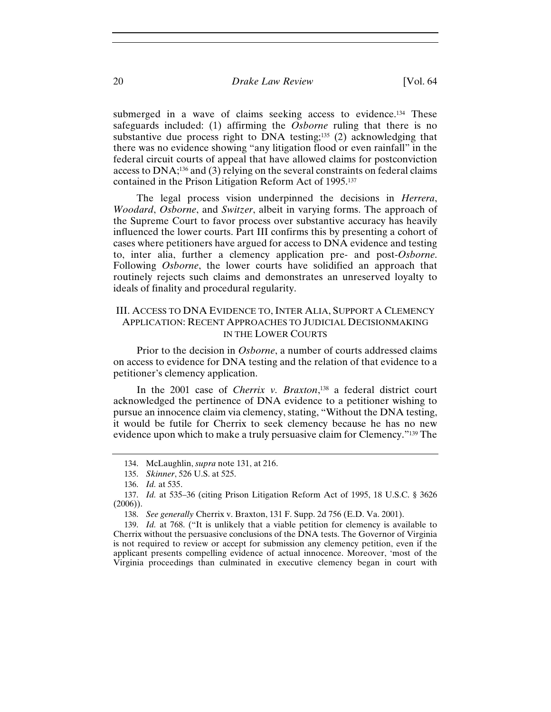submerged in a wave of claims seeking access to evidence.<sup>134</sup> These safeguards included: (1) affirming the *Osborne* ruling that there is no substantive due process right to DNA testing;<sup>135</sup> (2) acknowledging that there was no evidence showing "any litigation flood or even rainfall" in the federal circuit courts of appeal that have allowed claims for postconviction access to DNA;136 and (3) relying on the several constraints on federal claims contained in the Prison Litigation Reform Act of 1995.137

The legal process vision underpinned the decisions in *Herrera*, *Woodard*, *Osborne*, and *Switzer*, albeit in varying forms. The approach of the Supreme Court to favor process over substantive accuracy has heavily influenced the lower courts. Part III confirms this by presenting a cohort of cases where petitioners have argued for access to DNA evidence and testing to, inter alia, further a clemency application pre- and post-*Osborne*. Following *Osborne*, the lower courts have solidified an approach that routinely rejects such claims and demonstrates an unreserved loyalty to ideals of finality and procedural regularity.

#### III. ACCESS TO DNA EVIDENCE TO, INTER ALIA, SUPPORT A CLEMENCY APPLICATION: RECENT APPROACHES TO JUDICIAL DECISIONMAKING IN THE LOWER COURTS

Prior to the decision in *Osborne*, a number of courts addressed claims on access to evidence for DNA testing and the relation of that evidence to a petitioner's clemency application.

In the 2001 case of *Cherrix v. Braxton*, 138 a federal district court acknowledged the pertinence of DNA evidence to a petitioner wishing to pursue an innocence claim via clemency, stating, "Without the DNA testing, it would be futile for Cherrix to seek clemency because he has no new evidence upon which to make a truly persuasive claim for Clemency."139 The

139. *Id.* at 768. ("It is unlikely that a viable petition for clemency is available to Cherrix without the persuasive conclusions of the DNA tests. The Governor of Virginia is not required to review or accept for submission any clemency petition, even if the applicant presents compelling evidence of actual innocence. Moreover, 'most of the Virginia proceedings than culminated in executive clemency began in court with

<sup>134.</sup> McLaughlin, *supra* note 131, at 216.

<sup>135.</sup> *Skinner*, 526 U.S. at 525.

<sup>136.</sup> *Id.* at 535.

<sup>137.</sup> *Id.* at 535–36 (citing Prison Litigation Reform Act of 1995, 18 U.S.C. § 3626 (2006)).

<sup>138.</sup> *See generally* Cherrix v. Braxton, 131 F. Supp. 2d 756 (E.D. Va. 2001).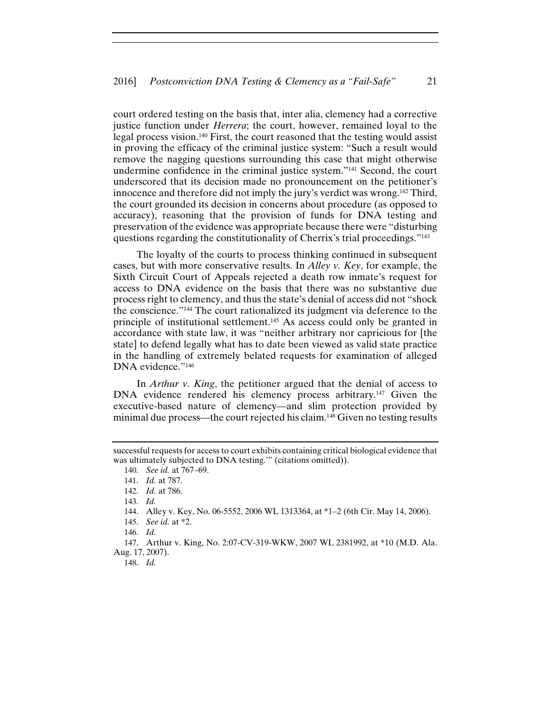court ordered testing on the basis that, inter alia, clemency had a corrective justice function under *Herrera*; the court, however, remained loyal to the legal process vision.140 First, the court reasoned that the testing would assist in proving the efficacy of the criminal justice system: "Such a result would remove the nagging questions surrounding this case that might otherwise undermine confidence in the criminal justice system."141 Second, the court underscored that its decision made no pronouncement on the petitioner's innocence and therefore did not imply the jury's verdict was wrong.142 Third, the court grounded its decision in concerns about procedure (as opposed to accuracy), reasoning that the provision of funds for DNA testing and preservation of the evidence was appropriate because there were "disturbing questions regarding the constitutionality of Cherrix's trial proceedings."143

The loyalty of the courts to process thinking continued in subsequent cases, but with more conservative results. In *Alley v. Key*, for example, the Sixth Circuit Court of Appeals rejected a death row inmate's request for access to DNA evidence on the basis that there was no substantive due process right to clemency, and thus the state's denial of access did not "shock the conscience."144 The court rationalized its judgment via deference to the principle of institutional settlement.145 As access could only be granted in accordance with state law, it was "neither arbitrary nor capricious for [the state] to defend legally what has to date been viewed as valid state practice in the handling of extremely belated requests for examination of alleged DNA evidence."146

In *Arthur v. King*, the petitioner argued that the denial of access to DNA evidence rendered his clemency process arbitrary.<sup>147</sup> Given the executive-based nature of clemency—and slim protection provided by minimal due process—the court rejected his claim.148 Given no testing results

143. *Id.*

145. *See id.* at \*2.

146. *Id.*

147. Arthur v. King, No. 2:07-CV-319-WKW, 2007 WL 2381992, at \*10 (M.D. Ala. Aug. 17, 2007).

148. *Id.*

successful requests for access to court exhibits containing critical biological evidence that was ultimately subjected to DNA testing.'" (citations omitted)).

<sup>140.</sup> *See id.* at 767–69.

<sup>141.</sup> *Id.* at 787.

<sup>142.</sup> *Id.* at 786.

<sup>144.</sup> Alley v. Key, No. 06-5552, 2006 WL 1313364, at \*1–2 (6th Cir. May 14, 2006).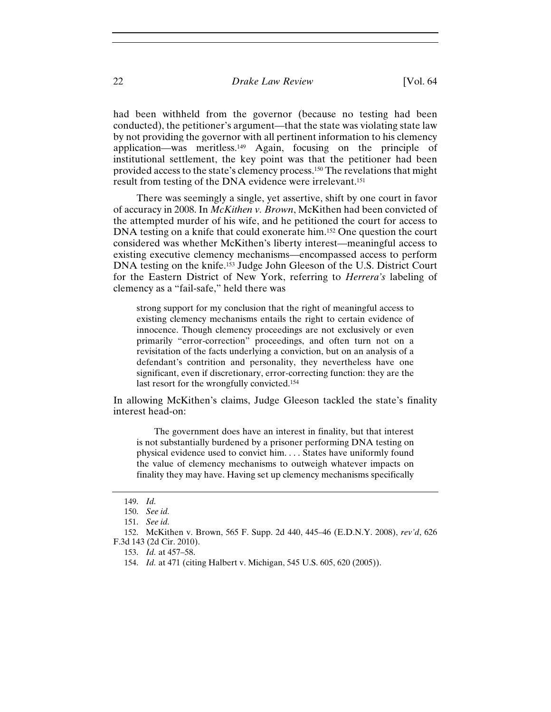had been withheld from the governor (because no testing had been conducted), the petitioner's argument—that the state was violating state law by not providing the governor with all pertinent information to his clemency application—was meritless.149 Again, focusing on the principle of institutional settlement, the key point was that the petitioner had been provided access to the state's clemency process.150 The revelations that might result from testing of the DNA evidence were irrelevant.151

There was seemingly a single, yet assertive, shift by one court in favor of accuracy in 2008. In *McKithen v. Brown*, McKithen had been convicted of the attempted murder of his wife, and he petitioned the court for access to DNA testing on a knife that could exonerate him.<sup>152</sup> One question the court considered was whether McKithen's liberty interest—meaningful access to existing executive clemency mechanisms—encompassed access to perform DNA testing on the knife.153 Judge John Gleeson of the U.S. District Court for the Eastern District of New York, referring to *Herrera's* labeling of clemency as a "fail-safe," held there was

strong support for my conclusion that the right of meaningful access to existing clemency mechanisms entails the right to certain evidence of innocence. Though clemency proceedings are not exclusively or even primarily "error-correction" proceedings, and often turn not on a revisitation of the facts underlying a conviction, but on an analysis of a defendant's contrition and personality, they nevertheless have one significant, even if discretionary, error-correcting function: they are the last resort for the wrongfully convicted.154

In allowing McKithen's claims, Judge Gleeson tackled the state's finality interest head-on:

 The government does have an interest in finality, but that interest is not substantially burdened by a prisoner performing DNA testing on physical evidence used to convict him. . . . States have uniformly found the value of clemency mechanisms to outweigh whatever impacts on finality they may have. Having set up clemency mechanisms specifically

<sup>149.</sup> *Id.*

<sup>150.</sup> *See id.*

<sup>151.</sup> *See id.*

<sup>152.</sup> McKithen v. Brown, 565 F. Supp. 2d 440, 445–46 (E.D.N.Y. 2008), *rev'd*, 626 F.3d 143 (2d Cir. 2010).

<sup>153.</sup> *Id.* at 457–58.

<sup>154.</sup> *Id.* at 471 (citing Halbert v. Michigan, 545 U.S. 605, 620 (2005)).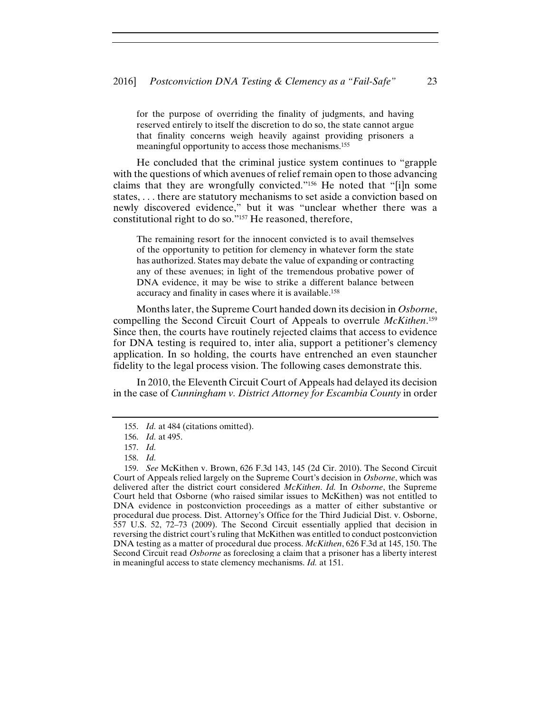for the purpose of overriding the finality of judgments, and having reserved entirely to itself the discretion to do so, the state cannot argue that finality concerns weigh heavily against providing prisoners a meaningful opportunity to access those mechanisms.155

He concluded that the criminal justice system continues to "grapple with the questions of which avenues of relief remain open to those advancing claims that they are wrongfully convicted."156 He noted that "[i]n some states, . . . there are statutory mechanisms to set aside a conviction based on newly discovered evidence," but it was "unclear whether there was a constitutional right to do so."157 He reasoned, therefore,

The remaining resort for the innocent convicted is to avail themselves of the opportunity to petition for clemency in whatever form the state has authorized. States may debate the value of expanding or contracting any of these avenues; in light of the tremendous probative power of DNA evidence, it may be wise to strike a different balance between accuracy and finality in cases where it is available.158

Months later, the Supreme Court handed down its decision in *Osborne*, compelling the Second Circuit Court of Appeals to overrule *McKithen*. 159 Since then, the courts have routinely rejected claims that access to evidence for DNA testing is required to, inter alia, support a petitioner's clemency application. In so holding, the courts have entrenched an even stauncher fidelity to the legal process vision. The following cases demonstrate this.

In 2010, the Eleventh Circuit Court of Appeals had delayed its decision in the case of *Cunningham v. District Attorney for Escambia County* in order

<sup>155.</sup> *Id.* at 484 (citations omitted).

<sup>156.</sup> *Id.* at 495.

<sup>157.</sup> *Id.*

<sup>158.</sup> *Id.*

<sup>159.</sup> *See* McKithen v. Brown, 626 F.3d 143, 145 (2d Cir. 2010). The Second Circuit Court of Appeals relied largely on the Supreme Court's decision in *Osborne*, which was delivered after the district court considered *McKithen*. *Id.* In *Osborne*, the Supreme Court held that Osborne (who raised similar issues to McKithen) was not entitled to DNA evidence in postconviction proceedings as a matter of either substantive or procedural due process. Dist. Attorney's Office for the Third Judicial Dist. v. Osborne, 557 U.S. 52, 72–73 (2009). The Second Circuit essentially applied that decision in reversing the district court's ruling that McKithen was entitled to conduct postconviction DNA testing as a matter of procedural due process. *McKithen*, 626 F.3d at 145, 150. The Second Circuit read *Osborne* as foreclosing a claim that a prisoner has a liberty interest in meaningful access to state clemency mechanisms. *Id.* at 151.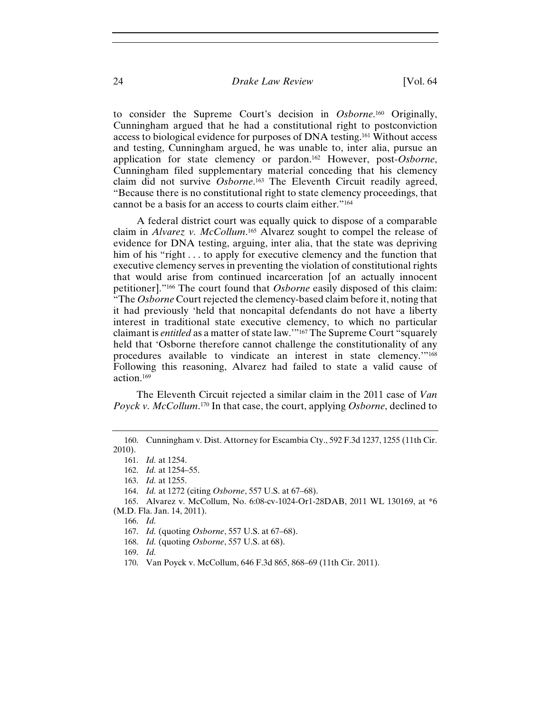to consider the Supreme Court's decision in *Osborne*. 160 Originally, Cunningham argued that he had a constitutional right to postconviction access to biological evidence for purposes of DNA testing.161 Without access and testing, Cunningham argued, he was unable to, inter alia, pursue an application for state clemency or pardon.162 However, post-*Osborne*, Cunningham filed supplementary material conceding that his clemency claim did not survive *Osborne*. 163 The Eleventh Circuit readily agreed, "Because there is no constitutional right to state clemency proceedings, that cannot be a basis for an access to courts claim either."164

A federal district court was equally quick to dispose of a comparable claim in *Alvarez v. McCollum*. 165 Alvarez sought to compel the release of evidence for DNA testing, arguing, inter alia, that the state was depriving him of his "right . . . to apply for executive clemency and the function that executive clemency serves in preventing the violation of constitutional rights that would arise from continued incarceration [of an actually innocent petitioner]."166 The court found that *Osborne* easily disposed of this claim: "The *Osborne* Court rejected the clemency-based claim before it, noting that it had previously 'held that noncapital defendants do not have a liberty interest in traditional state executive clemency, to which no particular claimant is *entitled* as a matter of state law.'"167 The Supreme Court "squarely held that 'Osborne therefore cannot challenge the constitutionality of any procedures available to vindicate an interest in state clemency.'"168 Following this reasoning, Alvarez had failed to state a valid cause of action.169

The Eleventh Circuit rejected a similar claim in the 2011 case of *Van Poyck v. McCollum*. 170 In that case, the court, applying *Osborne*, declined to

164. *Id.* at 1272 (citing *Osborne*, 557 U.S. at 67–68).

168. *Id.* (quoting *Osborne*, 557 U.S. at 68).

169. *Id.*

170. Van Poyck v. McCollum, 646 F.3d 865, 868–69 (11th Cir. 2011).

<sup>160.</sup> Cunningham v. Dist. Attorney for Escambia Cty., 592 F.3d 1237, 1255 (11th Cir. 2010).

<sup>161.</sup> *Id.* at 1254.

<sup>162.</sup> *Id.* at 1254–55.

<sup>163.</sup> *Id.* at 1255.

<sup>165.</sup> Alvarez v. McCollum, No. 6:08-cv-1024-Or1-28DAB, 2011 WL 130169, at \*6 (M.D. Fla. Jan. 14, 2011).

<sup>166.</sup> *Id.*

<sup>167.</sup> *Id.* (quoting *Osborne*, 557 U.S. at 67–68).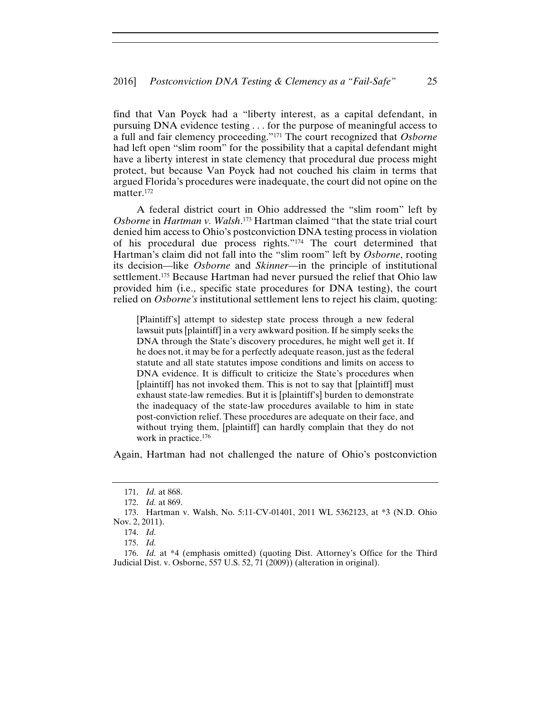find that Van Poyck had a "liberty interest, as a capital defendant, in pursuing DNA evidence testing . . . for the purpose of meaningful access to a full and fair clemency proceeding."171 The court recognized that *Osborne* had left open "slim room" for the possibility that a capital defendant might have a liberty interest in state clemency that procedural due process might protect, but because Van Poyck had not couched his claim in terms that argued Florida's procedures were inadequate, the court did not opine on the matter.172

A federal district court in Ohio addressed the "slim room" left by *Osborne* in *Hartman v. Walsh*. 173 Hartman claimed "that the state trial court denied him access to Ohio's postconviction DNA testing process in violation of his procedural due process rights."174 The court determined that Hartman's claim did not fall into the "slim room" left by *Osborne*, rooting its decision—like *Osborne* and *Skinner*—in the principle of institutional settlement.175 Because Hartman had never pursued the relief that Ohio law provided him (i.e., specific state procedures for DNA testing), the court relied on *Osborne's* institutional settlement lens to reject his claim, quoting:

[Plaintiff's] attempt to sidestep state process through a new federal lawsuit puts [plaintiff] in a very awkward position. If he simply seeks the DNA through the State's discovery procedures, he might well get it. If he does not, it may be for a perfectly adequate reason, just as the federal statute and all state statutes impose conditions and limits on access to DNA evidence. It is difficult to criticize the State's procedures when [plaintiff] has not invoked them. This is not to say that [plaintiff] must exhaust state-law remedies. But it is [plaintiff's] burden to demonstrate the inadequacy of the state-law procedures available to him in state post-conviction relief. These procedures are adequate on their face, and without trying them, [plaintiff] can hardly complain that they do not work in practice.176

Again, Hartman had not challenged the nature of Ohio's postconviction

<sup>171.</sup> *Id.* at 868.

<sup>172.</sup> *Id.* at 869.

<sup>173.</sup> Hartman v. Walsh, No. 5:11-CV-01401, 2011 WL 5362123, at \*3 (N.D. Ohio Nov. 2, 2011).

<sup>174.</sup> *Id.*

<sup>175.</sup> *Id.*

<sup>176.</sup> *Id.* at \*4 (emphasis omitted) (quoting Dist. Attorney's Office for the Third Judicial Dist. v. Osborne, 557 U.S. 52, 71 (2009)) (alteration in original).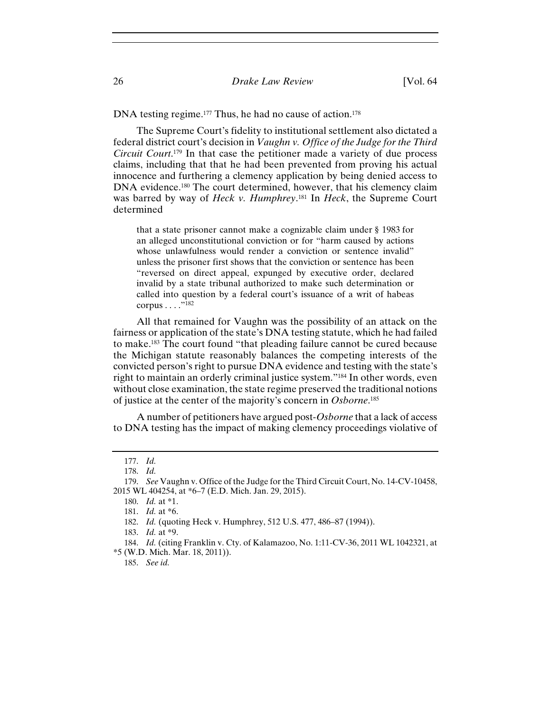DNA testing regime.<sup>177</sup> Thus, he had no cause of action.<sup>178</sup>

The Supreme Court's fidelity to institutional settlement also dictated a federal district court's decision in *Vaughn v. Office of the Judge for the Third Circuit Court*. <sup>179</sup> In that case the petitioner made a variety of due process claims, including that that he had been prevented from proving his actual innocence and furthering a clemency application by being denied access to DNA evidence.<sup>180</sup> The court determined, however, that his clemency claim was barred by way of *Heck v. Humphrey*. 181 In *Heck*, the Supreme Court determined

that a state prisoner cannot make a cognizable claim under § 1983 for an alleged unconstitutional conviction or for "harm caused by actions whose unlawfulness would render a conviction or sentence invalid" unless the prisoner first shows that the conviction or sentence has been "reversed on direct appeal, expunged by executive order, declared invalid by a state tribunal authorized to make such determination or called into question by a federal court's issuance of a writ of habeas corpus  $\dots$ ."<sup>182</sup>

All that remained for Vaughn was the possibility of an attack on the fairness or application of the state's DNA testing statute, which he had failed to make.183 The court found "that pleading failure cannot be cured because the Michigan statute reasonably balances the competing interests of the convicted person's right to pursue DNA evidence and testing with the state's right to maintain an orderly criminal justice system."184 In other words, even without close examination, the state regime preserved the traditional notions of justice at the center of the majority's concern in *Osborne*. 185

A number of petitioners have argued post-*Osborne* that a lack of access to DNA testing has the impact of making clemency proceedings violative of

185. *See id.*

<sup>177.</sup> *Id.*

<sup>178.</sup> *Id.*

<sup>179.</sup> *See* Vaughn v. Office of the Judge for the Third Circuit Court, No. 14-CV-10458, 2015 WL 404254, at \*6–7 (E.D. Mich. Jan. 29, 2015).

<sup>180.</sup> *Id.* at \*1.

<sup>181.</sup> *Id.* at \*6.

<sup>182.</sup> *Id.* (quoting Heck v. Humphrey, 512 U.S. 477, 486–87 (1994)).

<sup>183.</sup> *Id.* at \*9.

<sup>184.</sup> *Id.* (citing Franklin v. Cty. of Kalamazoo, No. 1:11-CV-36, 2011 WL 1042321, at \*5 (W.D. Mich. Mar. 18, 2011)).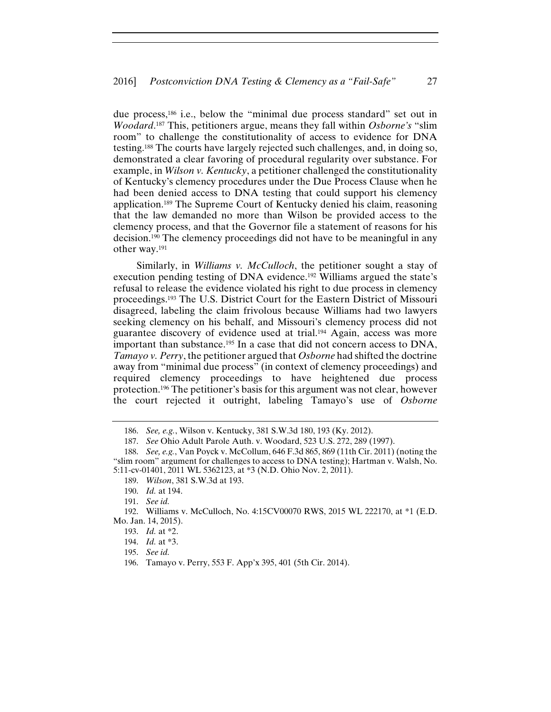due process,186 i.e., below the "minimal due process standard" set out in *Woodard*. 187 This, petitioners argue, means they fall within *Osborne's* "slim room" to challenge the constitutionality of access to evidence for DNA testing.188 The courts have largely rejected such challenges, and, in doing so, demonstrated a clear favoring of procedural regularity over substance. For example, in *Wilson v. Kentucky*, a petitioner challenged the constitutionality of Kentucky's clemency procedures under the Due Process Clause when he had been denied access to DNA testing that could support his clemency application.189 The Supreme Court of Kentucky denied his claim, reasoning that the law demanded no more than Wilson be provided access to the clemency process, and that the Governor file a statement of reasons for his decision.190 The clemency proceedings did not have to be meaningful in any other way.191

Similarly, in *Williams v. McCulloch*, the petitioner sought a stay of execution pending testing of DNA evidence.192 Williams argued the state's refusal to release the evidence violated his right to due process in clemency proceedings.193 The U.S. District Court for the Eastern District of Missouri disagreed, labeling the claim frivolous because Williams had two lawyers seeking clemency on his behalf, and Missouri's clemency process did not guarantee discovery of evidence used at trial.194 Again, access was more important than substance.195 In a case that did not concern access to DNA, *Tamayo v. Perry*, the petitioner argued that *Osborne* had shifted the doctrine away from "minimal due process" (in context of clemency proceedings) and required clemency proceedings to have heightened due process protection.196 The petitioner's basis for this argument was not clear, however the court rejected it outright, labeling Tamayo's use of *Osborne*

<sup>186.</sup> *See, e.g.*, Wilson v. Kentucky, 381 S.W.3d 180, 193 (Ky. 2012).

<sup>187.</sup> *See* Ohio Adult Parole Auth. v. Woodard, 523 U.S. 272, 289 (1997).

<sup>188.</sup> *See, e.g.*, Van Poyck v. McCollum, 646 F.3d 865, 869 (11th Cir. 2011) (noting the "slim room" argument for challenges to access to DNA testing); Hartman v. Walsh, No. 5:11-cv-01401, 2011 WL 5362123, at \*3 (N.D. Ohio Nov. 2, 2011).

<sup>189.</sup> *Wilson*, 381 S.W.3d at 193.

<sup>190.</sup> *Id.* at 194.

<sup>191.</sup> *See id.*

<sup>192.</sup> Williams v. McCulloch, No. 4:15CV00070 RWS, 2015 WL 222170, at \*1 (E.D. Mo. Jan. 14, 2015).

<sup>193.</sup> *Id.* at \*2.

<sup>194.</sup> *Id.* at \*3.

<sup>195.</sup> *See id.*

<sup>196.</sup> Tamayo v. Perry, 553 F. App'x 395, 401 (5th Cir. 2014).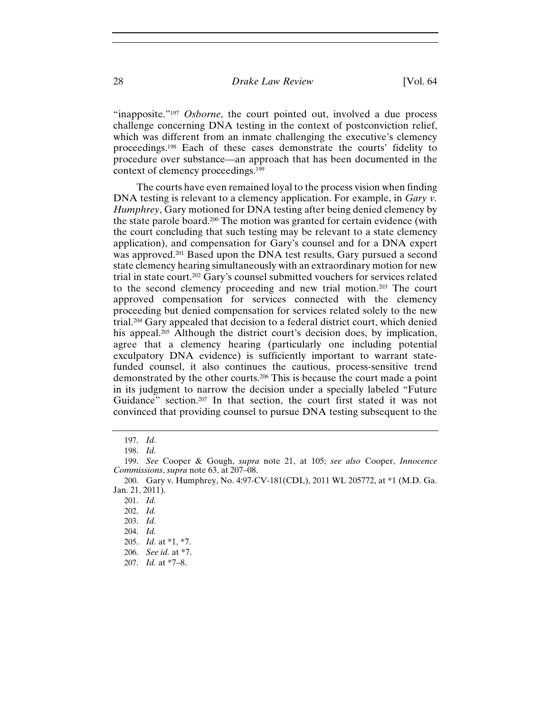"inapposite."<sup>197</sup> *Osborne*, the court pointed out, involved a due process challenge concerning DNA testing in the context of postconviction relief, which was different from an inmate challenging the executive's clemency proceedings.198 Each of these cases demonstrate the courts' fidelity to procedure over substance—an approach that has been documented in the context of clemency proceedings.199

The courts have even remained loyal to the process vision when finding DNA testing is relevant to a clemency application. For example, in *Gary v*. *Humphrey*, Gary motioned for DNA testing after being denied clemency by the state parole board.200 The motion was granted for certain evidence (with the court concluding that such testing may be relevant to a state clemency application), and compensation for Gary's counsel and for a DNA expert was approved.201 Based upon the DNA test results, Gary pursued a second state clemency hearing simultaneously with an extraordinary motion for new trial in state court.202 Gary's counsel submitted vouchers for services related to the second clemency proceeding and new trial motion.203 The court approved compensation for services connected with the clemency proceeding but denied compensation for services related solely to the new trial.204 Gary appealed that decision to a federal district court, which denied his appeal.<sup>205</sup> Although the district court's decision does, by implication, agree that a clemency hearing (particularly one including potential exculpatory DNA evidence) is sufficiently important to warrant statefunded counsel, it also continues the cautious, process-sensitive trend demonstrated by the other courts.206 This is because the court made a point in its judgment to narrow the decision under a specially labeled "Future Guidance" section.207 In that section, the court first stated it was not convinced that providing counsel to pursue DNA testing subsequent to the

<sup>197.</sup> *Id.*

<sup>198.</sup> *Id.*

<sup>199.</sup> *See* Cooper & Gough, *supra* note 21, at 105; *see also* Cooper, *Innocence Commissions*, *supra* note 63, at 207–08.

<sup>200.</sup> Gary v. Humphrey, No. 4:97-CV-181(CDL), 2011 WL 205772, at \*1 (M.D. Ga. Jan. 21, 2011).

<sup>201.</sup> *Id.*

<sup>202.</sup> *Id.*

<sup>203.</sup> *Id.*

<sup>204.</sup> *Id.*

<sup>205.</sup> *Id.* at \*1, \*7.

<sup>206.</sup> *See id.* at \*7.

<sup>207.</sup> *Id.* at \*7–8.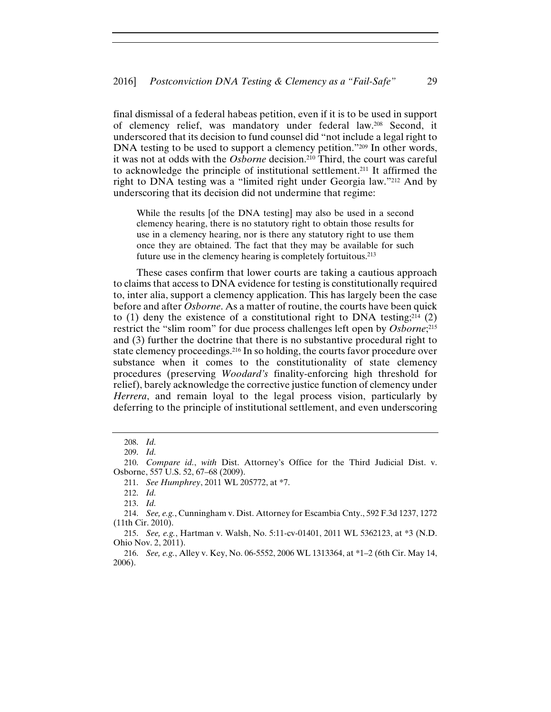final dismissal of a federal habeas petition, even if it is to be used in support of clemency relief, was mandatory under federal law.208 Second, it underscored that its decision to fund counsel did "not include a legal right to DNA testing to be used to support a clemency petition."209 In other words, it was not at odds with the *Osborne* decision.210 Third, the court was careful to acknowledge the principle of institutional settlement.211 It affirmed the right to DNA testing was a "limited right under Georgia law."212 And by underscoring that its decision did not undermine that regime:

While the results [of the DNA testing] may also be used in a second clemency hearing, there is no statutory right to obtain those results for use in a clemency hearing, nor is there any statutory right to use them once they are obtained. The fact that they may be available for such future use in the clemency hearing is completely fortuitous.213

These cases confirm that lower courts are taking a cautious approach to claims that access to DNA evidence for testing is constitutionally required to, inter alia, support a clemency application. This has largely been the case before and after *Osborne*. As a matter of routine, the courts have been quick to (1) deny the existence of a constitutional right to DNA testing;<sup>214</sup> (2) restrict the "slim room" for due process challenges left open by *Osborne*; 215 and (3) further the doctrine that there is no substantive procedural right to state clemency proceedings.216 In so holding, the courts favor procedure over substance when it comes to the constitutionality of state clemency procedures (preserving *Woodard's* finality-enforcing high threshold for relief), barely acknowledge the corrective justice function of clemency under *Herrera*, and remain loyal to the legal process vision, particularly by deferring to the principle of institutional settlement, and even underscoring

<sup>208.</sup> *Id.*

<sup>209.</sup> *Id.*

<sup>210.</sup> *Compare id.*, *with* Dist. Attorney's Office for the Third Judicial Dist. v. Osborne, 557 U.S. 52, 67–68 (2009).

<sup>211.</sup> *See Humphrey*, 2011 WL 205772, at \*7.

<sup>212.</sup> *Id.*

<sup>213.</sup> *Id.*

<sup>214.</sup> *See, e.g.*, Cunningham v. Dist. Attorney for Escambia Cnty., 592 F.3d 1237, 1272 (11th Cir. 2010).

<sup>215.</sup> *See, e.g.*, Hartman v. Walsh, No. 5:11-cv-01401, 2011 WL 5362123, at \*3 (N.D. Ohio Nov. 2, 2011).

<sup>216.</sup> *See, e.g.*, Alley v. Key, No. 06-5552, 2006 WL 1313364, at \*1–2 (6th Cir. May 14, 2006).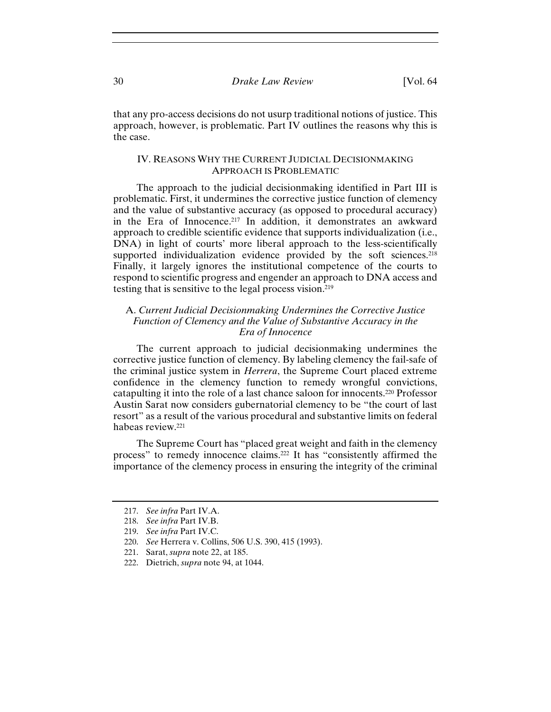that any pro-access decisions do not usurp traditional notions of justice. This approach, however, is problematic. Part IV outlines the reasons why this is the case.

#### IV. REASONS WHY THE CURRENT JUDICIAL DECISIONMAKING APPROACH IS PROBLEMATIC

The approach to the judicial decisionmaking identified in Part III is problematic. First, it undermines the corrective justice function of clemency and the value of substantive accuracy (as opposed to procedural accuracy) in the Era of Innocence.217 In addition, it demonstrates an awkward approach to credible scientific evidence that supports individualization (i.e., DNA) in light of courts' more liberal approach to the less-scientifically supported individualization evidence provided by the soft sciences.<sup>218</sup> Finally, it largely ignores the institutional competence of the courts to respond to scientific progress and engender an approach to DNA access and testing that is sensitive to the legal process vision.219

#### A. *Current Judicial Decisionmaking Undermines the Corrective Justice Function of Clemency and the Value of Substantive Accuracy in the Era of Innocence*

The current approach to judicial decisionmaking undermines the corrective justice function of clemency. By labeling clemency the fail-safe of the criminal justice system in *Herrera*, the Supreme Court placed extreme confidence in the clemency function to remedy wrongful convictions, catapulting it into the role of a last chance saloon for innocents.220 Professor Austin Sarat now considers gubernatorial clemency to be "the court of last resort" as a result of the various procedural and substantive limits on federal habeas review.221

The Supreme Court has "placed great weight and faith in the clemency process" to remedy innocence claims.222 It has "consistently affirmed the importance of the clemency process in ensuring the integrity of the criminal

<sup>217.</sup> *See infra* Part IV.A.

<sup>218.</sup> *See infra* Part IV.B.

<sup>219.</sup> *See infra* Part IV.C.

<sup>220.</sup> *See* Herrera v. Collins, 506 U.S. 390, 415 (1993).

<sup>221.</sup> Sarat, *supra* note 22, at 185.

<sup>222.</sup> Dietrich, *supra* note 94, at 1044.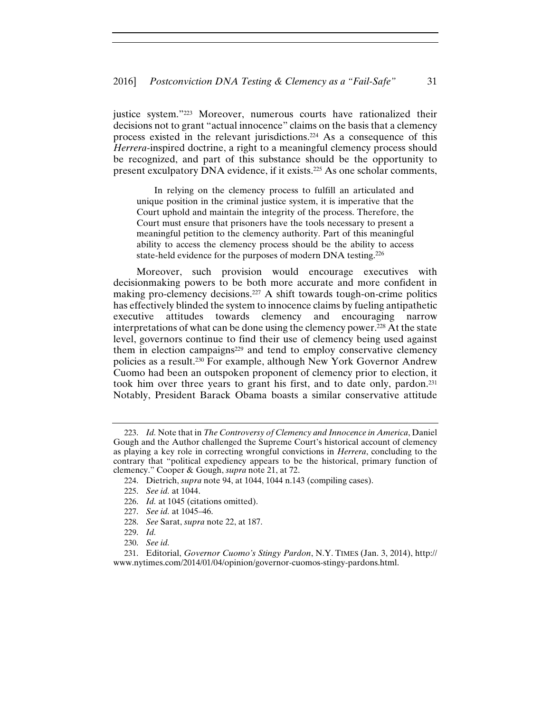justice system."223 Moreover, numerous courts have rationalized their decisions not to grant "actual innocence" claims on the basis that a clemency process existed in the relevant jurisdictions.224 As a consequence of this *Herrera*-inspired doctrine, a right to a meaningful clemency process should be recognized, and part of this substance should be the opportunity to present exculpatory DNA evidence, if it exists.225 As one scholar comments,

 In relying on the clemency process to fulfill an articulated and unique position in the criminal justice system, it is imperative that the Court uphold and maintain the integrity of the process. Therefore, the Court must ensure that prisoners have the tools necessary to present a meaningful petition to the clemency authority. Part of this meaningful ability to access the clemency process should be the ability to access state-held evidence for the purposes of modern DNA testing.226

Moreover, such provision would encourage executives with decisionmaking powers to be both more accurate and more confident in making pro-clemency decisions.<sup>227</sup> A shift towards tough-on-crime politics has effectively blinded the system to innocence claims by fueling antipathetic executive attitudes towards clemency and encouraging narrow interpretations of what can be done using the clemency power.<sup>228</sup> At the state level, governors continue to find their use of clemency being used against them in election campaigns229 and tend to employ conservative clemency policies as a result.230 For example, although New York Governor Andrew Cuomo had been an outspoken proponent of clemency prior to election, it took him over three years to grant his first, and to date only, pardon.231 Notably, President Barack Obama boasts a similar conservative attitude

<sup>223.</sup> *Id.* Note that in *The Controversy of Clemency and Innocence in America*, Daniel Gough and the Author challenged the Supreme Court's historical account of clemency as playing a key role in correcting wrongful convictions in *Herrera*, concluding to the contrary that "political expediency appears to be the historical, primary function of clemency." Cooper & Gough, *supra* note 21, at 72.

<sup>224.</sup> Dietrich, *supra* note 94, at 1044, 1044 n.143 (compiling cases).

<sup>225.</sup> *See id.* at 1044.

<sup>226.</sup> *Id.* at 1045 (citations omitted).

<sup>227.</sup> *See id.* at 1045–46.

<sup>228.</sup> *See* Sarat, *supra* note 22, at 187.

<sup>229.</sup> *Id.*

<sup>230.</sup> *See id.*

<sup>231.</sup> Editorial, *Governor Cuomo's Stingy Pardon*, N.Y. TIMES (Jan. 3, 2014), http:// www.nytimes.com/2014/01/04/opinion/governor-cuomos-stingy-pardons.html.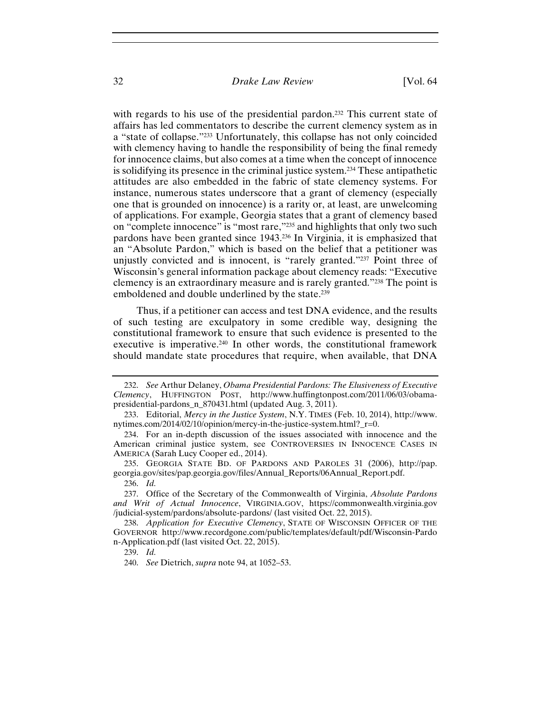with regards to his use of the presidential pardon.<sup>232</sup> This current state of affairs has led commentators to describe the current clemency system as in a "state of collapse."233 Unfortunately, this collapse has not only coincided with clemency having to handle the responsibility of being the final remedy for innocence claims, but also comes at a time when the concept of innocence is solidifying its presence in the criminal justice system.234 These antipathetic attitudes are also embedded in the fabric of state clemency systems. For instance, numerous states underscore that a grant of clemency (especially one that is grounded on innocence) is a rarity or, at least, are unwelcoming of applications. For example, Georgia states that a grant of clemency based on "complete innocence" is "most rare,"235 and highlights that only two such pardons have been granted since 1943.236 In Virginia, it is emphasized that an "Absolute Pardon," which is based on the belief that a petitioner was unjustly convicted and is innocent, is "rarely granted."237 Point three of Wisconsin's general information package about clemency reads: "Executive clemency is an extraordinary measure and is rarely granted."238 The point is emboldened and double underlined by the state.239

Thus, if a petitioner can access and test DNA evidence, and the results of such testing are exculpatory in some credible way, designing the constitutional framework to ensure that such evidence is presented to the executive is imperative.<sup>240</sup> In other words, the constitutional framework should mandate state procedures that require, when available, that DNA

<sup>232.</sup> *See* Arthur Delaney, *Obama Presidential Pardons: The Elusiveness of Executive Clemency*, HUFFINGTON POST, http://www.huffingtonpost.com/2011/06/03/obamapresidential-pardons\_n\_870431.html (updated Aug. 3, 2011).

<sup>233.</sup> Editorial, *Mercy in the Justice System*, N.Y. TIMES (Feb. 10, 2014), http://www. nytimes.com/2014/02/10/opinion/mercy-in-the-justice-system.html?\_r=0.

<sup>234.</sup> For an in-depth discussion of the issues associated with innocence and the American criminal justice system, see CONTROVERSIES IN INNOCENCE CASES IN AMERICA (Sarah Lucy Cooper ed., 2014).

<sup>235.</sup> GEORGIA STATE BD. OF PARDONS AND PAROLES 31 (2006), http://pap. georgia.gov/sites/pap.georgia.gov/files/Annual\_Reports/06Annual\_Report.pdf. 236. *Id.*

<sup>237.</sup> Office of the Secretary of the Commonwealth of Virginia, *Absolute Pardons and Writ of Actual Innocence*, VIRGINIA.GOV, https://commonwealth.virginia.gov /judicial-system/pardons/absolute-pardons/ (last visited Oct. 22, 2015).

<sup>238.</sup> *Application for Executive Clemency*, STATE OF WISCONSIN OFFICER OF THE GOVERNOR http://www.recordgone.com/public/templates/default/pdf/Wisconsin-Pardo n-Application.pdf (last visited Oct. 22, 2015).

<sup>239.</sup> *Id.*

<sup>240.</sup> *See* Dietrich, *supra* note 94, at 1052–53.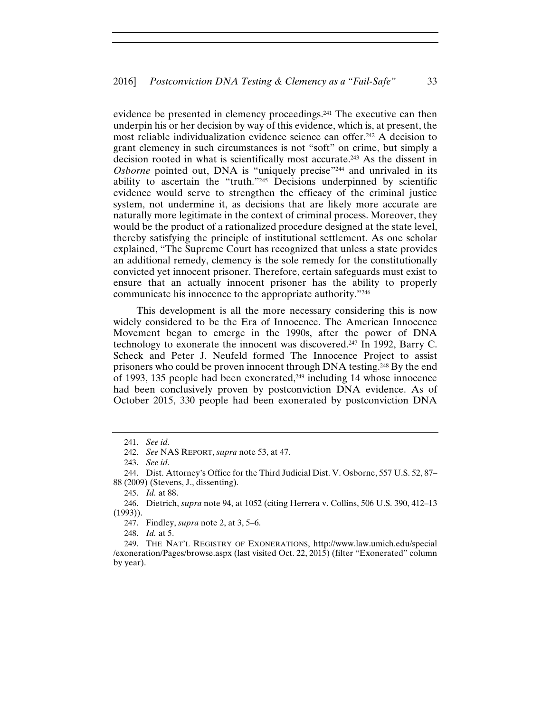evidence be presented in clemency proceedings.241 The executive can then underpin his or her decision by way of this evidence, which is, at present, the most reliable individualization evidence science can offer.242 A decision to grant clemency in such circumstances is not "soft" on crime, but simply a decision rooted in what is scientifically most accurate.243 As the dissent in *Osborne* pointed out, DNA is "uniquely precise"<sup>244</sup> and unrivaled in its ability to ascertain the "truth."245 Decisions underpinned by scientific evidence would serve to strengthen the efficacy of the criminal justice system, not undermine it, as decisions that are likely more accurate are naturally more legitimate in the context of criminal process. Moreover, they would be the product of a rationalized procedure designed at the state level, thereby satisfying the principle of institutional settlement. As one scholar explained, "The Supreme Court has recognized that unless a state provides an additional remedy, clemency is the sole remedy for the constitutionally convicted yet innocent prisoner. Therefore, certain safeguards must exist to ensure that an actually innocent prisoner has the ability to properly communicate his innocence to the appropriate authority."246

This development is all the more necessary considering this is now widely considered to be the Era of Innocence. The American Innocence Movement began to emerge in the 1990s, after the power of DNA technology to exonerate the innocent was discovered.247 In 1992, Barry C. Scheck and Peter J. Neufeld formed The Innocence Project to assist prisoners who could be proven innocent through DNA testing.248 By the end of 1993, 135 people had been exonerated, $249$  including 14 whose innocence had been conclusively proven by postconviction DNA evidence. As of October 2015, 330 people had been exonerated by postconviction DNA

247. Findley, *supra* note 2, at 3, 5–6.

248. *Id.* at 5.

<sup>241.</sup> *See id.*

<sup>242.</sup> *See* NAS REPORT, *supra* note 53, at 47.

<sup>243.</sup> *See id.*

<sup>244.</sup> Dist. Attorney's Office for the Third Judicial Dist. V. Osborne, 557 U.S. 52, 87– 88 (2009) (Stevens, J., dissenting).

<sup>245.</sup> *Id.* at 88.

<sup>246.</sup> Dietrich, *supra* note 94, at 1052 (citing Herrera v. Collins, 506 U.S. 390, 412–13 (1993)).

<sup>249.</sup> THE NAT'L REGISTRY OF EXONERATIONS, http://www.law.umich.edu/special /exoneration/Pages/browse.aspx (last visited Oct. 22, 2015) (filter "Exonerated" column by year).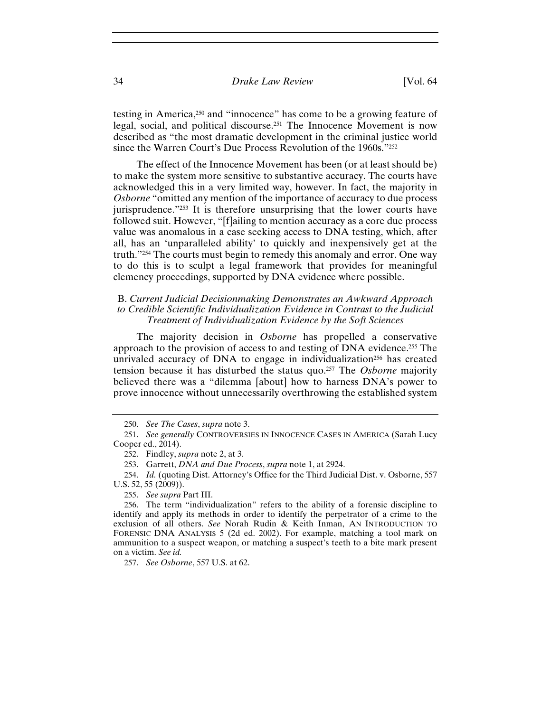testing in America,250 and "innocence" has come to be a growing feature of legal, social, and political discourse.251 The Innocence Movement is now described as "the most dramatic development in the criminal justice world since the Warren Court's Due Process Revolution of the 1960s."252

The effect of the Innocence Movement has been (or at least should be) to make the system more sensitive to substantive accuracy. The courts have acknowledged this in a very limited way, however. In fact, the majority in *Osborne* "omitted any mention of the importance of accuracy to due process jurisprudence."253 It is therefore unsurprising that the lower courts have followed suit. However, "[f]ailing to mention accuracy as a core due process value was anomalous in a case seeking access to DNA testing, which, after all, has an 'unparalleled ability' to quickly and inexpensively get at the truth."254 The courts must begin to remedy this anomaly and error. One way to do this is to sculpt a legal framework that provides for meaningful clemency proceedings, supported by DNA evidence where possible.

#### B. *Current Judicial Decisionmaking Demonstrates an Awkward Approach to Credible Scientific Individualization Evidence in Contrast to the Judicial Treatment of Individualization Evidence by the Soft Sciences*

The majority decision in *Osborne* has propelled a conservative approach to the provision of access to and testing of DNA evidence.255 The unrivaled accuracy of DNA to engage in individualization<sup>256</sup> has created tension because it has disturbed the status quo.257 The *Osborne* majority believed there was a "dilemma [about] how to harness DNA's power to prove innocence without unnecessarily overthrowing the established system

257. *See Osborne*, 557 U.S. at 62.

<sup>250.</sup> *See The Cases*, *supra* note 3.

<sup>251.</sup> *See generally* CONTROVERSIES IN INNOCENCE CASES IN AMERICA (Sarah Lucy Cooper ed., 2014).

<sup>252.</sup> Findley, *supra* note 2, at 3.

<sup>253.</sup> Garrett, *DNA and Due Process*, *supra* note 1, at 2924.

<sup>254.</sup> *Id.* (quoting Dist. Attorney's Office for the Third Judicial Dist. v. Osborne, 557 U.S. 52, 55 (2009)).

<sup>255.</sup> *See supra* Part III.

<sup>256.</sup> The term "individualization" refers to the ability of a forensic discipline to identify and apply its methods in order to identify the perpetrator of a crime to the exclusion of all others. *See* Norah Rudin & Keith Inman, AN INTRODUCTION TO FORENSIC DNA ANALYSIS 5 (2d ed. 2002). For example, matching a tool mark on ammunition to a suspect weapon, or matching a suspect's teeth to a bite mark present on a victim. *See id.*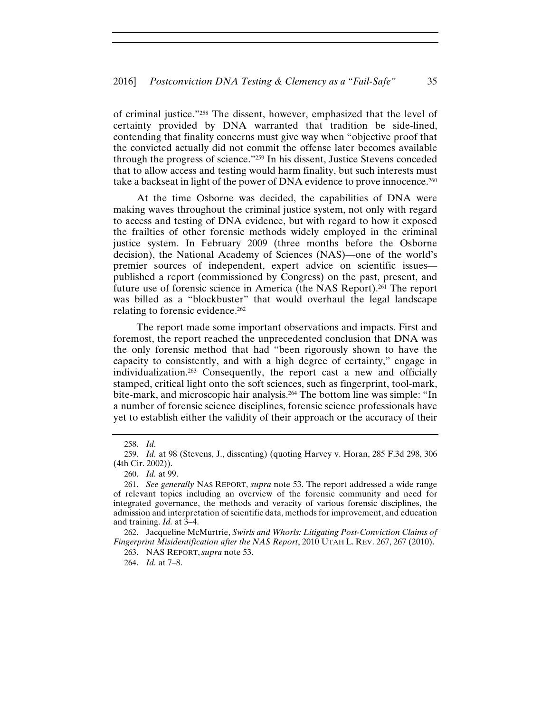of criminal justice."258 The dissent, however, emphasized that the level of certainty provided by DNA warranted that tradition be side-lined, contending that finality concerns must give way when "objective proof that the convicted actually did not commit the offense later becomes available through the progress of science."259 In his dissent, Justice Stevens conceded that to allow access and testing would harm finality, but such interests must take a backseat in light of the power of DNA evidence to prove innocence.260

At the time Osborne was decided, the capabilities of DNA were making waves throughout the criminal justice system, not only with regard to access and testing of DNA evidence, but with regard to how it exposed the frailties of other forensic methods widely employed in the criminal justice system. In February 2009 (three months before the Osborne decision), the National Academy of Sciences (NAS)—one of the world's premier sources of independent, expert advice on scientific issues published a report (commissioned by Congress) on the past, present, and future use of forensic science in America (the NAS Report).261 The report was billed as a "blockbuster" that would overhaul the legal landscape relating to forensic evidence.262

The report made some important observations and impacts. First and foremost, the report reached the unprecedented conclusion that DNA was the only forensic method that had "been rigorously shown to have the capacity to consistently, and with a high degree of certainty," engage in individualization.263 Consequently, the report cast a new and officially stamped, critical light onto the soft sciences, such as fingerprint, tool-mark, bite-mark, and microscopic hair analysis.264 The bottom line was simple: "In a number of forensic science disciplines, forensic science professionals have yet to establish either the validity of their approach or the accuracy of their

264. *Id.* at 7–8.

<sup>258.</sup> *Id.*

<sup>259.</sup> *Id.* at 98 (Stevens, J., dissenting) (quoting Harvey v. Horan, 285 F.3d 298, 306 (4th Cir. 2002)).

<sup>260.</sup> *Id.* at 99.

<sup>261.</sup> *See generally* NAS REPORT, *supra* note 53. The report addressed a wide range of relevant topics including an overview of the forensic community and need for integrated governance, the methods and veracity of various forensic disciplines, the admission and interpretation of scientific data, methods for improvement, and education and training. *Id.* at 3–4.

<sup>262.</sup> Jacqueline McMurtrie, *Swirls and Whorls: Litigating Post-Conviction Claims of Fingerprint Misidentification after the NAS Report*, 2010 UTAH L. REV. 267, 267 (2010).

<sup>263.</sup> NAS REPORT,*supra* note 53.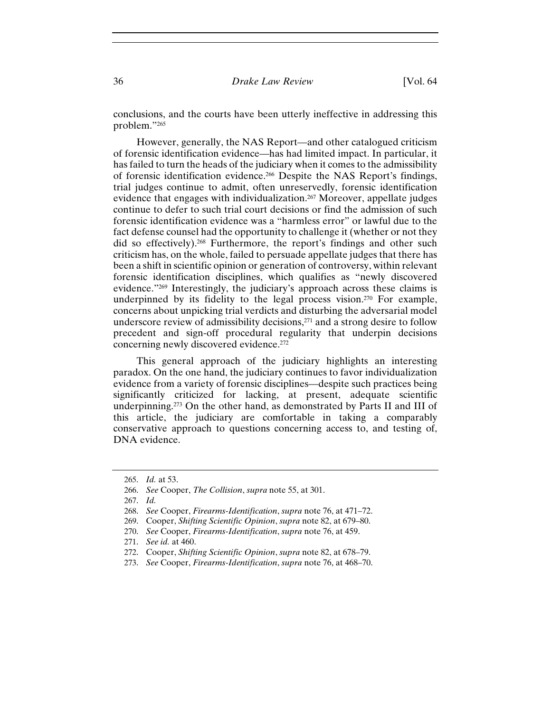conclusions, and the courts have been utterly ineffective in addressing this problem."265

However, generally, the NAS Report—and other catalogued criticism of forensic identification evidence—has had limited impact. In particular, it has failed to turn the heads of the judiciary when it comes to the admissibility of forensic identification evidence.266 Despite the NAS Report's findings, trial judges continue to admit, often unreservedly, forensic identification evidence that engages with individualization.<sup>267</sup> Moreover, appellate judges continue to defer to such trial court decisions or find the admission of such forensic identification evidence was a "harmless error" or lawful due to the fact defense counsel had the opportunity to challenge it (whether or not they did so effectively).268 Furthermore, the report's findings and other such criticism has, on the whole, failed to persuade appellate judges that there has been a shift in scientific opinion or generation of controversy, within relevant forensic identification disciplines, which qualifies as "newly discovered evidence."269 Interestingly, the judiciary's approach across these claims is underpinned by its fidelity to the legal process vision.270 For example, concerns about unpicking trial verdicts and disturbing the adversarial model underscore review of admissibility decisions,<sup>271</sup> and a strong desire to follow precedent and sign-off procedural regularity that underpin decisions concerning newly discovered evidence.272

This general approach of the judiciary highlights an interesting paradox. On the one hand, the judiciary continues to favor individualization evidence from a variety of forensic disciplines—despite such practices being significantly criticized for lacking, at present, adequate scientific underpinning.273 On the other hand, as demonstrated by Parts II and III of this article, the judiciary are comfortable in taking a comparably conservative approach to questions concerning access to, and testing of, DNA evidence.

<sup>265.</sup> *Id.* at 53.

<sup>266.</sup> *See* Cooper, *The Collision*, *supra* note 55, at 301.

<sup>267.</sup> *Id.*

<sup>268.</sup> *See* Cooper, *Firearms-Identification*, *supra* note 76, at 471–72.

<sup>269.</sup> Cooper, *Shifting Scientific Opinion*, *supra* note 82, at 679–80.

<sup>270.</sup> *See* Cooper, *Firearms-Identification*, *supra* note 76, at 459.

<sup>271.</sup> *See id.* at 460.

<sup>272.</sup> Cooper, *Shifting Scientific Opinion*, *supra* note 82, at 678–79.

<sup>273.</sup> *See* Cooper, *Firearms-Identification*, *supra* note 76, at 468–70.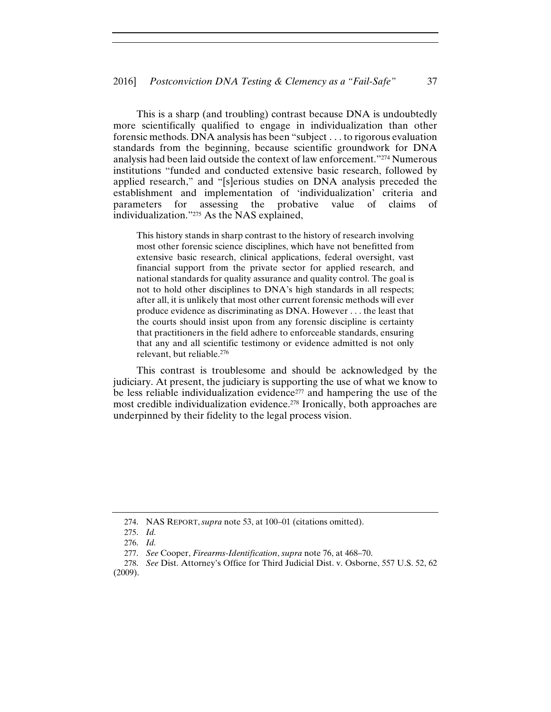This is a sharp (and troubling) contrast because DNA is undoubtedly more scientifically qualified to engage in individualization than other forensic methods. DNA analysis has been "subject . . . to rigorous evaluation standards from the beginning, because scientific groundwork for DNA analysis had been laid outside the context of law enforcement."274 Numerous institutions "funded and conducted extensive basic research, followed by applied research," and "[s]erious studies on DNA analysis preceded the establishment and implementation of 'individualization' criteria and parameters for assessing the probative value of claims of individualization."275 As the NAS explained,

This history stands in sharp contrast to the history of research involving most other forensic science disciplines, which have not benefitted from extensive basic research, clinical applications, federal oversight, vast financial support from the private sector for applied research, and national standards for quality assurance and quality control. The goal is not to hold other disciplines to DNA's high standards in all respects; after all, it is unlikely that most other current forensic methods will ever produce evidence as discriminating as DNA. However . . . the least that the courts should insist upon from any forensic discipline is certainty that practitioners in the field adhere to enforceable standards, ensuring that any and all scientific testimony or evidence admitted is not only relevant, but reliable.276

This contrast is troublesome and should be acknowledged by the judiciary. At present, the judiciary is supporting the use of what we know to be less reliable individualization evidence<sup> $277$ </sup> and hampering the use of the most credible individualization evidence.<sup>278</sup> Ironically, both approaches are underpinned by their fidelity to the legal process vision.

<sup>274.</sup> NAS REPORT,*supra* note 53, at 100–01 (citations omitted).

<sup>275.</sup> *Id.*

<sup>276.</sup> *Id.*

<sup>277.</sup> *See* Cooper, *Firearms-Identification*, *supra* note 76, at 468–70.

<sup>278.</sup> *See* Dist. Attorney's Office for Third Judicial Dist. v. Osborne, 557 U.S. 52, 62 (2009).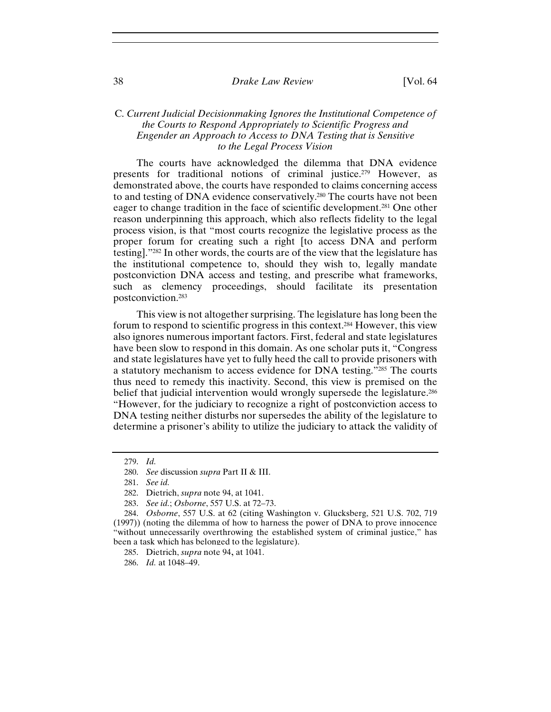#### C. *Current Judicial Decisionmaking Ignores the Institutional Competence of the Courts to Respond Appropriately to Scientific Progress and Engender an Approach to Access to DNA Testing that is Sensitive to the Legal Process Vision*

The courts have acknowledged the dilemma that DNA evidence presents for traditional notions of criminal justice.<sup>279</sup> However, as demonstrated above, the courts have responded to claims concerning access to and testing of DNA evidence conservatively.280 The courts have not been eager to change tradition in the face of scientific development.281 One other reason underpinning this approach, which also reflects fidelity to the legal process vision, is that "most courts recognize the legislative process as the proper forum for creating such a right [to access DNA and perform testing]."282 In other words, the courts are of the view that the legislature has the institutional competence to, should they wish to, legally mandate postconviction DNA access and testing, and prescribe what frameworks, such as clemency proceedings, should facilitate its presentation postconviction.283

This view is not altogether surprising. The legislature has long been the forum to respond to scientific progress in this context.284 However, this view also ignores numerous important factors. First, federal and state legislatures have been slow to respond in this domain. As one scholar puts it, "Congress and state legislatures have yet to fully heed the call to provide prisoners with a statutory mechanism to access evidence for DNA testing."285 The courts thus need to remedy this inactivity. Second, this view is premised on the belief that judicial intervention would wrongly supersede the legislature.<sup>286</sup> "However, for the judiciary to recognize a right of postconviction access to DNA testing neither disturbs nor supersedes the ability of the legislature to determine a prisoner's ability to utilize the judiciary to attack the validity of

<sup>279.</sup> *Id.*

<sup>280.</sup> *See* discussion *supra* Part II & III.

<sup>281.</sup> *See id.*

<sup>282.</sup> Dietrich, *supra* note 94, at 1041.

<sup>283.</sup> *See id.*; *Osborne*, 557 U.S. at 72–73.

<sup>284.</sup> *Osborne*, 557 U.S. at 62 (citing Washington v. Glucksberg, 521 U.S. 702, 719 (1997)) (noting the dilemma of how to harness the power of DNA to prove innocence "without unnecessarily overthrowing the established system of criminal justice," has been a task which has belonged to the legislature).

<sup>285.</sup> Dietrich, *supra* note 94, at 1041.

<sup>286.</sup> *Id.* at 1048–49.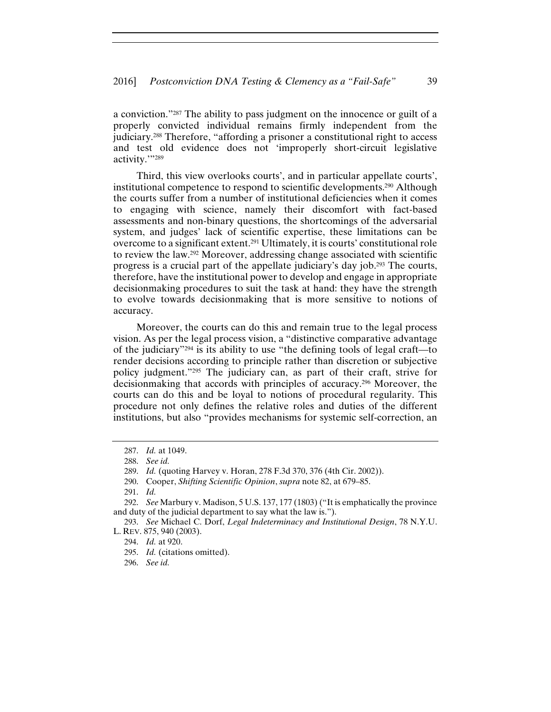a conviction."287 The ability to pass judgment on the innocence or guilt of a properly convicted individual remains firmly independent from the judiciary.288 Therefore, "affording a prisoner a constitutional right to access and test old evidence does not 'improperly short-circuit legislative activity.'"289

Third, this view overlooks courts', and in particular appellate courts', institutional competence to respond to scientific developments.290 Although the courts suffer from a number of institutional deficiencies when it comes to engaging with science, namely their discomfort with fact-based assessments and non-binary questions, the shortcomings of the adversarial system, and judges' lack of scientific expertise, these limitations can be overcome to a significant extent.291 Ultimately, it is courts' constitutional role to review the law.292 Moreover, addressing change associated with scientific progress is a crucial part of the appellate judiciary's day job.293 The courts, therefore, have the institutional power to develop and engage in appropriate decisionmaking procedures to suit the task at hand: they have the strength to evolve towards decisionmaking that is more sensitive to notions of accuracy.

Moreover, the courts can do this and remain true to the legal process vision. As per the legal process vision, a "distinctive comparative advantage of the judiciary"294 is its ability to use "the defining tools of legal craft—to render decisions according to principle rather than discretion or subjective policy judgment."295 The judiciary can, as part of their craft, strive for decisionmaking that accords with principles of accuracy.296 Moreover, the courts can do this and be loyal to notions of procedural regularity. This procedure not only defines the relative roles and duties of the different institutions, but also "provides mechanisms for systemic self-correction, an

<sup>287.</sup> *Id.* at 1049.

<sup>288.</sup> *See id.*

<sup>289.</sup> *Id.* (quoting Harvey v. Horan, 278 F.3d 370, 376 (4th Cir. 2002)).

<sup>290.</sup> Cooper, *Shifting Scientific Opinion*, *supra* note 82, at 679–85.

<sup>291.</sup> *Id.*

<sup>292.</sup> *See* Marbury v. Madison, 5 U.S. 137, 177 (1803) ("It is emphatically the province and duty of the judicial department to say what the law is.").

<sup>293.</sup> *See* Michael C. Dorf, *Legal Indeterminacy and Institutional Design*, 78 N.Y.U. L. REV. 875, 940 (2003).

<sup>294.</sup> *Id.* at 920.

<sup>295.</sup> *Id.* (citations omitted).

<sup>296.</sup> *See id.*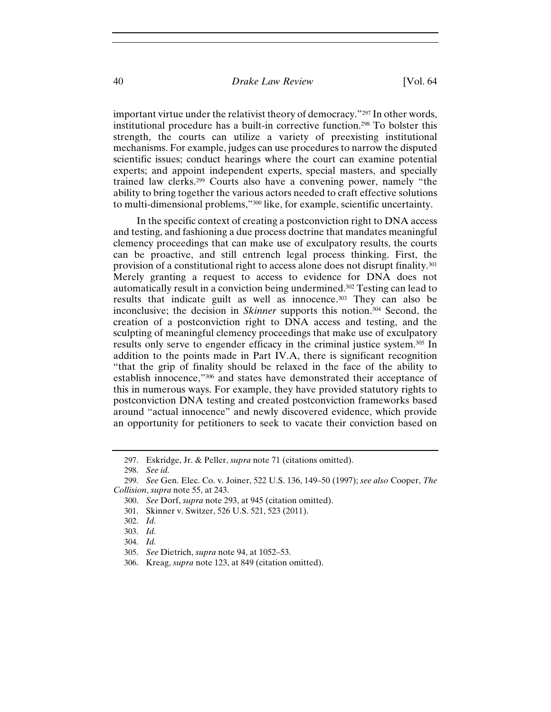important virtue under the relativist theory of democracy."297 In other words, institutional procedure has a built-in corrective function.298 To bolster this strength, the courts can utilize a variety of preexisting institutional mechanisms. For example, judges can use procedures to narrow the disputed scientific issues; conduct hearings where the court can examine potential experts; and appoint independent experts, special masters, and specially trained law clerks.299 Courts also have a convening power, namely "the ability to bring together the various actors needed to craft effective solutions to multi-dimensional problems,"300 like, for example, scientific uncertainty.

In the specific context of creating a postconviction right to DNA access and testing, and fashioning a due process doctrine that mandates meaningful clemency proceedings that can make use of exculpatory results, the courts can be proactive, and still entrench legal process thinking. First, the provision of a constitutional right to access alone does not disrupt finality.301 Merely granting a request to access to evidence for DNA does not automatically result in a conviction being undermined.302 Testing can lead to results that indicate guilt as well as innocence.303 They can also be inconclusive; the decision in *Skinner* supports this notion.304 Second, the creation of a postconviction right to DNA access and testing, and the sculpting of meaningful clemency proceedings that make use of exculpatory results only serve to engender efficacy in the criminal justice system.305 In addition to the points made in Part IV.A, there is significant recognition "that the grip of finality should be relaxed in the face of the ability to establish innocence,"306 and states have demonstrated their acceptance of this in numerous ways. For example, they have provided statutory rights to postconviction DNA testing and created postconviction frameworks based around "actual innocence" and newly discovered evidence, which provide an opportunity for petitioners to seek to vacate their conviction based on

<sup>297.</sup> Eskridge, Jr. & Peller, *supra* note 71 (citations omitted).

<sup>298.</sup> *See id.*

<sup>299.</sup> *See* Gen. Elec. Co. v. Joiner, 522 U.S. 136, 149–50 (1997); *see also* Cooper, *The Collision*, *supra* note 55, at 243.

<sup>300.</sup> *See* Dorf, *supra* note 293, at 945 (citation omitted).

<sup>301.</sup> Skinner v. Switzer, 526 U.S. 521, 523 (2011).

<sup>302.</sup> *Id.*

<sup>303.</sup> *Id.*

<sup>304.</sup> *Id.*

<sup>305.</sup> *See* Dietrich, *supra* note 94, at 1052–53.

<sup>306.</sup> Kreag, *supra* note 123, at 849 (citation omitted).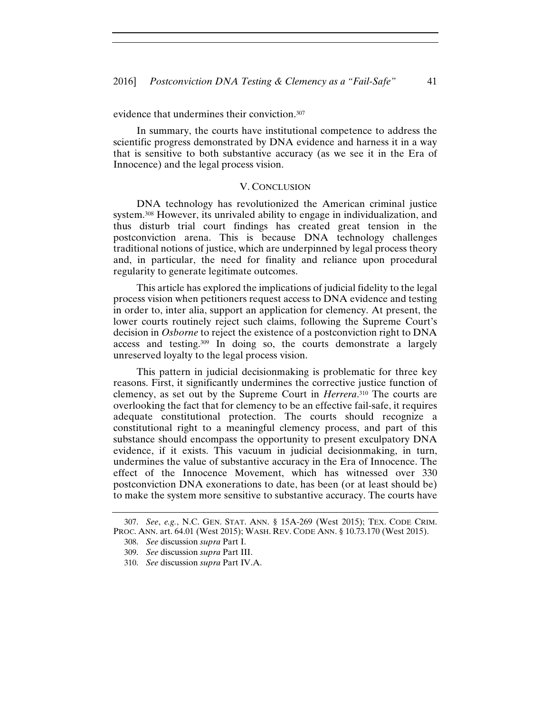evidence that undermines their conviction.<sup>307</sup>

In summary, the courts have institutional competence to address the scientific progress demonstrated by DNA evidence and harness it in a way that is sensitive to both substantive accuracy (as we see it in the Era of Innocence) and the legal process vision.

#### V. CONCLUSION

DNA technology has revolutionized the American criminal justice system.308 However, its unrivaled ability to engage in individualization, and thus disturb trial court findings has created great tension in the postconviction arena. This is because DNA technology challenges traditional notions of justice, which are underpinned by legal process theory and, in particular, the need for finality and reliance upon procedural regularity to generate legitimate outcomes.

This article has explored the implications of judicial fidelity to the legal process vision when petitioners request access to DNA evidence and testing in order to, inter alia, support an application for clemency. At present, the lower courts routinely reject such claims, following the Supreme Court's decision in *Osborne* to reject the existence of a postconviction right to DNA access and testing.309 In doing so, the courts demonstrate a largely unreserved loyalty to the legal process vision.

This pattern in judicial decisionmaking is problematic for three key reasons. First, it significantly undermines the corrective justice function of clemency, as set out by the Supreme Court in *Herrera*. 310 The courts are overlooking the fact that for clemency to be an effective fail-safe, it requires adequate constitutional protection. The courts should recognize a constitutional right to a meaningful clemency process, and part of this substance should encompass the opportunity to present exculpatory DNA evidence, if it exists. This vacuum in judicial decisionmaking, in turn, undermines the value of substantive accuracy in the Era of Innocence. The effect of the Innocence Movement, which has witnessed over 330 postconviction DNA exonerations to date, has been (or at least should be) to make the system more sensitive to substantive accuracy. The courts have

<sup>307.</sup> *See*, *e.g.*, N.C. GEN. STAT. ANN. § 15A-269 (West 2015); TEX. CODE CRIM. PROC. ANN. art. 64.01 (West 2015); WASH. REV. CODE ANN. § 10.73.170 (West 2015).

<sup>308.</sup> *See* discussion *supra* Part I.

<sup>309.</sup> *See* discussion *supra* Part III.

<sup>310.</sup> *See* discussion *supra* Part IV.A.